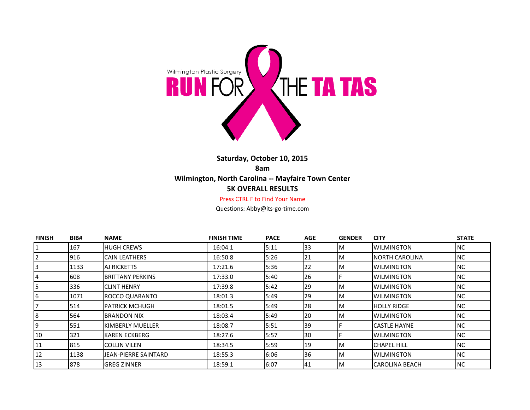

## **Saturday, October 10, 2015 8am Wilmington, North Carolina -- Mayfaire Town Center 5K OVERALL RESULTS**

## Press CTRL F to Find Your Name

Questions: Abby@its-go-time.com

| <b>FINISH</b> | BIB# | <b>NAME</b>                 | <b>FINISH TIME</b> | <b>PACE</b> | AGE       | <b>GENDER</b> | <b>CITY</b>            | <b>STATE</b> |
|---------------|------|-----------------------------|--------------------|-------------|-----------|---------------|------------------------|--------------|
| 1             | 167  | <b>HUGH CREWS</b>           | 16:04.1            | 5:11        | 33        | ΙM            | <b>WILMINGTON</b>      | NC.          |
| 2             | 916  | <b>CAIN LEATHERS</b>        | 16:50.8            | 5:26        | 121       | M             | <b>INORTH CAROLINA</b> | NC.          |
|               | 1133 | AJ RICKETTS                 | 17:21.6            | 5:36        | 122       | M             | IWILMINGTON            | <b>NC</b>    |
| 4             | 608  | <b>BRITTANY PERKINS</b>     | 17:33.0            | 5:40        | 126       |               | <b>WILMINGTON</b>      | <b>NC</b>    |
| 5             | 336  | <b>CLINT HENRY</b>          | 17:39.8            | 5:42        | 129       | M             | <b>WILMINGTON</b>      | NC.          |
| 6             | 1071 | ROCCO QUARANTO              | 18:01.3            | 5:49        | 129       | M             | <b>WILMINGTON</b>      | <b>NC</b>    |
|               | 514  | <b>PATRICK MCHUGH</b>       | 18:01.5            | 5:49        | 128       | M             | IHOLLY RIDGE           | <b>NC</b>    |
| 8             | 564  | <b>BRANDON NIX</b>          | 18:03.4            | 5:49        | 120       | M             | <b>WILMINGTON</b>      | <b>NC</b>    |
| 9             | 551  | KIMBERLY MUELLER            | 18:08.7            | 5:51        | 39        |               | <b>CASTLE HAYNE</b>    | <b>NC</b>    |
| 10            | 321  | KAREN ECKBERG               | 18:27.6            | 5:57        | 130       |               | IWILMINGTON            | <b>NC</b>    |
| 11            | 815  | <b>COLLIN VILEN</b>         | 18:34.5            | 5:59        | 119       | M             | <b>CHAPEL HILL</b>     | NC.          |
| 12            | 1138 | <b>JEAN-PIERRE SAINTARD</b> | 18:55.3            | 6:06        | 136       | M             | <b>WILMINGTON</b>      | NC.          |
| 13            | 1878 | <b>GREG ZINNER</b>          | 18:59.1            | 6:07        | <b>41</b> | ΙM            | <b>CAROLINA BEACH</b>  | NC           |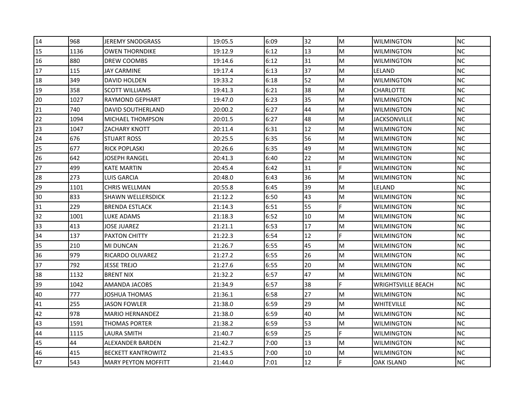| 14 | 968  | JEREMY SNODGRASS           | 19:05.5 | 6:09 | 32 | M  | <b>WILMINGTON</b>         | <b>NC</b> |
|----|------|----------------------------|---------|------|----|----|---------------------------|-----------|
| 15 | 1136 | <b>OWEN THORNDIKE</b>      | 19:12.9 | 6:12 | 13 | M  | <b>WILMINGTON</b>         | <b>NC</b> |
| 16 | 880  | DREW COOMBS                | 19:14.6 | 6:12 | 31 | M  | <b>WILMINGTON</b>         | <b>NC</b> |
| 17 | 115  | JAY CARMINE                | 19:17.4 | 6:13 | 37 | M  | LELAND                    | <b>NC</b> |
| 18 | 349  | <b>DAVID HOLDEN</b>        | 19:33.2 | 6:18 | 52 | M  | <b>WILMINGTON</b>         | <b>NC</b> |
| 19 | 358  | SCOTT WILLIAMS             | 19:41.3 | 6:21 | 38 | M  | <b>CHARLOTTE</b>          | <b>NC</b> |
| 20 | 1027 | RAYMOND GEPHART            | 19:47.0 | 6:23 | 35 | M  | <b>WILMINGTON</b>         | NC.       |
| 21 | 740  | <b>DAVID SOUTHERLAND</b>   | 20:00.2 | 6:27 | 44 | M  | <b>WILMINGTON</b>         | <b>NC</b> |
| 22 | 1094 | MICHAEL THOMPSON           | 20:01.5 | 6:27 | 48 | M  | <b>JACKSONVILLE</b>       | <b>NC</b> |
| 23 | 1047 | ZACHARY KNOTT              | 20:11.4 | 6:31 | 12 | M  | <b>WILMINGTON</b>         | <b>NC</b> |
| 24 | 676  | STUART ROSS                | 20:25.5 | 6:35 | 56 | M  | <b>WILMINGTON</b>         | NC        |
| 25 | 677  | RICK POPLASKI              | 20:26.6 | 6:35 | 49 | M  | <b>WILMINGTON</b>         | <b>NC</b> |
| 26 | 642  | JOSEPH RANGEL              | 20:41.3 | 6:40 | 22 | M  | <b>WILMINGTON</b>         | <b>NC</b> |
| 27 | 499  | KATE MARTIN                | 20:45.4 | 6:42 | 31 | F  | <b>WILMINGTON</b>         | <b>NC</b> |
| 28 | 273  | LUIS GARCIA                | 20:48.0 | 6:43 | 36 | M  | <b>WILMINGTON</b>         | <b>NC</b> |
| 29 | 1101 | <b>CHRIS WELLMAN</b>       | 20:55.8 | 6:45 | 39 | M  | LELAND                    | <b>NC</b> |
| 30 | 833  | SHAWN WELLERSDICK          | 21:12.2 | 6:50 | 43 | M  | WILMINGTON                | NC        |
| 31 | 229  | <b>BRENDA ESTLACK</b>      | 21:14.3 | 6:51 | 55 | F. | <b>WILMINGTON</b>         | NC.       |
| 32 | 1001 | LUKE ADAMS                 | 21:18.3 | 6:52 | 10 | M  | <b>WILMINGTON</b>         | <b>NC</b> |
| 33 | 413  | JOSE JUAREZ                | 21:21.1 | 6:53 | 17 | M  | <b>WILMINGTON</b>         | <b>NC</b> |
| 34 | 137  | PAXTON CHITTY              | 21:22.3 | 6:54 | 12 | F. | <b>WILMINGTON</b>         | <b>NC</b> |
| 35 | 210  | MI DUNCAN                  | 21:26.7 | 6:55 | 45 | M  | WILMINGTON                | <b>NC</b> |
| 36 | 979  | <b>RICARDO OLIVAREZ</b>    | 21:27.2 | 6:55 | 26 | M  | <b>WILMINGTON</b>         | <b>NC</b> |
| 37 | 792  | JESSE TREJO                | 21:27.6 | 6:55 | 20 | M  | <b>WILMINGTON</b>         | <b>NC</b> |
| 38 | 1132 | <b>BRENT NIX</b>           | 21:32.2 | 6:57 | 47 | M  | <b>WILMINGTON</b>         | <b>NC</b> |
| 39 | 1042 | AMANDA JACOBS              | 21:34.9 | 6:57 | 38 | F  | <b>WRIGHTSVILLE BEACH</b> | NC.       |
| 40 | 777  | JOSHUA THOMAS              | 21:36.1 | 6:58 | 27 | M  | <b>WILMINGTON</b>         | <b>NC</b> |
| 41 | 255  | JASON FOWLER               | 21:38.0 | 6:59 | 29 | M  | <b>WHITEVILLE</b>         | NC        |
| 42 | 978  | <b>MARIO HERNANDEZ</b>     | 21:38.0 | 6:59 | 40 | M  | <b>WILMINGTON</b>         | <b>NC</b> |
| 43 | 1591 | <b>THOMAS PORTER</b>       | 21:38.2 | 6:59 | 53 | M  | <b>WILMINGTON</b>         | <b>NC</b> |
| 44 | 1115 | LAURA SMITH                | 21:40.7 | 6:59 | 25 | F. | <b>WILMINGTON</b>         | <b>NC</b> |
| 45 | 44   | ALEXANDER BARDEN           | 21:42.7 | 7:00 | 13 | M  | <b>WILMINGTON</b>         | NC        |
| 46 | 415  | <b>BECKETT KANTROWITZ</b>  | 21:43.5 | 7:00 | 10 | M  | <b>WILMINGTON</b>         | NC.       |
| 47 | 543  | <b>MARY PEYTON MOFFITT</b> | 21:44.0 | 7:01 | 12 | F. | <b>OAK ISLAND</b>         | <b>NC</b> |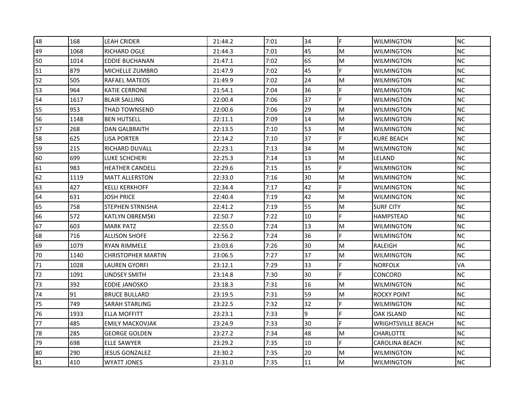| 48 | 168  | LEAH CRIDER               | 21:44.2 | 7:01 | 34 | F  | <b>WILMINGTON</b>         | <b>NC</b> |
|----|------|---------------------------|---------|------|----|----|---------------------------|-----------|
| 49 | 1068 | <b>RICHARD OGLE</b>       | 21:44.3 | 7:01 | 45 | M  | <b>WILMINGTON</b>         | <b>NC</b> |
| 50 | 1014 | <b>EDDIE BUCHANAN</b>     | 21:47.1 | 7:02 | 65 | M  | <b>WILMINGTON</b>         | <b>NC</b> |
| 51 | 879  | MICHELLE ZUMBRO           | 21:47.9 | 7:02 | 45 | F  | <b>WILMINGTON</b>         | <b>NC</b> |
| 52 | 505  | RAFAEL MATEOS             | 21:49.9 | 7:02 | 24 | M  | <b>WILMINGTON</b>         | <b>NC</b> |
| 53 | 964  | KATIE CERRONE             | 21:54.1 | 7:04 | 36 | F  | <b>WILMINGTON</b>         | <b>NC</b> |
| 54 | 1617 | <b>BLAIR SALLING</b>      | 22:00.4 | 7:06 | 37 | F  | <b>WILMINGTON</b>         | NC        |
| 55 | 953  | <b>THAD TOWNSEND</b>      | 22:00.6 | 7:06 | 29 | M  | <b>WILMINGTON</b>         | <b>NC</b> |
| 56 | 1148 | <b>BEN HUTSELL</b>        | 22:11.1 | 7:09 | 14 | M  | <b>WILMINGTON</b>         | <b>NC</b> |
| 57 | 268  | DAN GALBRAITH             | 22:13.5 | 7:10 | 53 | M  | <b>WILMINGTON</b>         | <b>NC</b> |
| 58 | 625  | LISA PORTER               | 22:14.2 | 7:10 | 37 | F. | KURE BEACH                | NC.       |
| 59 | 215  | RICHARD DUVALL            | 22:23.1 | 7:13 | 34 | M  | <b>WILMINGTON</b>         | <b>NC</b> |
| 60 | 699  | LUKE SCHCHERI             | 22:25.3 | 7:14 | 13 | M  | LELAND                    | <b>NC</b> |
| 61 | 983  | <b>HEATHER CANDELL</b>    | 22:29.6 | 7:15 | 35 | F. | <b>WILMINGTON</b>         | <b>NC</b> |
| 62 | 1119 | <b>MATT ALLERSTON</b>     | 22:33.0 | 7:16 | 30 | M  | <b>WILMINGTON</b>         | <b>NC</b> |
| 63 | 427  | KELLI KERKHOFF            | 22:34.4 | 7:17 | 42 | F  | <b>WILMINGTON</b>         | NC        |
| 64 | 631  | JOSH PRICE                | 22:40.4 | 7:19 | 42 | M  | WILMINGTON                | <b>NC</b> |
| 65 | 758  | <b>STEPHEN STRNISHA</b>   | 22:41.2 | 7:19 | 55 | M  | <b>SURF CITY</b>          | NC        |
| 66 | 572  | KATLYN OBREMSKI           | 22:50.7 | 7:22 | 10 | E  | <b>HAMPSTEAD</b>          | <b>NC</b> |
| 67 | 603  | <b>MARK PATZ</b>          | 22:55.0 | 7:24 | 13 | M  | <b>WILMINGTON</b>         | <b>NC</b> |
| 68 | 716  | <b>ALLISON SHOFE</b>      | 22:56.2 | 7:24 | 36 | F  | <b>WILMINGTON</b>         | <b>NC</b> |
| 69 | 1079 | RYAN RIMMELE              | 23:03.6 | 7:26 | 30 | M  | RALEIGH                   | <b>NC</b> |
| 70 | 1140 | <b>CHRISTOPHER MARTIN</b> | 23:06.5 | 7:27 | 37 | M  | <b>WILMINGTON</b>         | <b>NC</b> |
| 71 | 1028 | LAUREN GYORFI             | 23:12.1 | 7:29 | 33 | F  | <b>NORFOLK</b>            | VA        |
| 72 | 1091 | LINDSEY SMITH             | 23:14.8 | 7:30 | 30 | F  | <b>CONCORD</b>            | <b>NC</b> |
| 73 | 392  | EDDIE JANOSKO             | 23:18.3 | 7:31 | 16 | M  | <b>WILMINGTON</b>         | <b>NC</b> |
| 74 | 91   | <b>BRUCE BULLARD</b>      | 23:19.5 | 7:31 | 59 | M  | <b>ROCKY POINT</b>        | NC        |
| 75 | 749  | SARAH STARLING            | 23:22.5 | 7:32 | 32 | F  | <b>WILMINGTON</b>         | <b>NC</b> |
| 76 | 1933 | <b>ELLA MOFFITT</b>       | 23:23.1 | 7:33 | 9  | F  | <b>OAK ISLAND</b>         | <b>NC</b> |
| 77 | 485  | <b>EMILY MACKOVJAK</b>    | 23:24.9 | 7:33 | 30 | E  | <b>WRIGHTSVILLE BEACH</b> | <b>NC</b> |
| 78 | 285  | <b>GEORGE GOLDEN</b>      | 23:27.2 | 7:34 | 48 | M  | <b>CHARLOTTE</b>          | <b>NC</b> |
| 79 | 698  | <b>ELLE SAWYER</b>        | 23:29.2 | 7:35 | 10 | F. | <b>CAROLINA BEACH</b>     | <b>NC</b> |
| 80 | 290  | JESUS GONZALEZ            | 23:30.2 | 7:35 | 20 | M  | <b>WILMINGTON</b>         | NC        |
| 81 | 410  | <b>WYATT JONES</b>        | 23:31.0 | 7:35 | 11 | M  | <b>WILMINGTON</b>         | <b>NC</b> |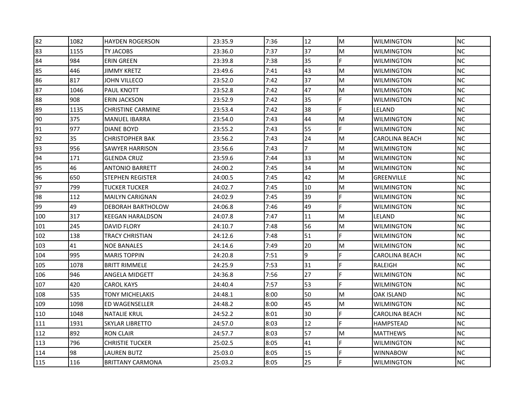| 82  | 1082 | <b>HAYDEN ROGERSON</b>   | 23:35.9 | 7:36 | 12 | M | <b>WILMINGTON</b>     | <b>NC</b> |
|-----|------|--------------------------|---------|------|----|---|-----------------------|-----------|
| 83  | 1155 | TY JACOBS                | 23:36.0 | 7:37 | 37 | M | <b>WILMINGTON</b>     | <b>NC</b> |
| 84  | 984  | <b>ERIN GREEN</b>        | 23:39.8 | 7:38 | 35 | F | <b>WILMINGTON</b>     | <b>NC</b> |
| 85  | 446  | JIMMY KRETZ              | 23:49.6 | 7:41 | 43 | M | <b>WILMINGTON</b>     | <b>NC</b> |
| 86  | 817  | JOHN VILLECO             | 23:52.0 | 7:42 | 37 | M | <b>WILMINGTON</b>     | <b>NC</b> |
| 87  | 1046 | PAUL KNOTT               | 23:52.8 | 7:42 | 47 | M | <b>WILMINGTON</b>     | <b>NC</b> |
| 88  | 908  | ERIN JACKSON             | 23:52.9 | 7:42 | 35 | F | <b>WILMINGTON</b>     | NC        |
| 89  | 1135 | <b>CHRISTINE CARMINE</b> | 23:53.4 | 7:42 | 38 | F | LELAND                | <b>NC</b> |
| 90  | 375  | <b>MANUEL IBARRA</b>     | 23:54.0 | 7:43 | 44 | M | <b>WILMINGTON</b>     | <b>NC</b> |
| 91  | 977  | <b>DIANE BOYD</b>        | 23:55.2 | 7:43 | 55 | F | <b>WILMINGTON</b>     | <b>NC</b> |
| 92  | 35   | <b>CHRISTOPHER BAK</b>   | 23:56.2 | 7:43 | 24 | M | <b>CAROLINA BEACH</b> | <b>NC</b> |
| 93  | 956  | SAWYER HARRISON          | 23:56.6 | 7:43 | 7  | M | <b>WILMINGTON</b>     | <b>NC</b> |
| 94  | 171  | <b>GLENDA CRUZ</b>       | 23:59.6 | 7:44 | 33 | M | <b>WILMINGTON</b>     | <b>NC</b> |
| 95  | 46   | <b>ANTONIO BARRETT</b>   | 24:00.2 | 7:45 | 34 | M | <b>WILMINGTON</b>     | <b>NC</b> |
| 96  | 650  | STEPHEN REGISTER         | 24:00.5 | 7:45 | 42 | M | <b>GREENVILLE</b>     | <b>NC</b> |
| 97  | 799  | TUCKER TUCKER            | 24:02.7 | 7:45 | 10 | M | <b>WILMINGTON</b>     | <b>NC</b> |
| 98  | 112  | <b>MAILYN CARIGNAN</b>   | 24:02.9 | 7:45 | 39 | F | <b>WILMINGTON</b>     | NC        |
| 99  | 49   | DEBORAH BARTHOLOW        | 24:06.8 | 7:46 | 49 | F | <b>WILMINGTON</b>     | <b>NC</b> |
| 100 | 317  | <b>KEEGAN HARALDSON</b>  | 24:07.8 | 7:47 | 11 | M | LELAND                | <b>NC</b> |
| 101 | 245  | DAVID FLORY              | 24:10.7 | 7:48 | 56 | M | <b>WILMINGTON</b>     | <b>NC</b> |
| 102 | 138  | TRACY CHRISTIAN          | 24:12.6 | 7:48 | 51 | F | <b>WILMINGTON</b>     | NC        |
| 103 | 41   | NOE BANALES              | 24:14.6 | 7:49 | 20 | M | <b>WILMINGTON</b>     | NC.       |
| 104 | 995  | <b>MARIS TOPPIN</b>      | 24:20.8 | 7:51 | 9  | F | <b>CAROLINA BEACH</b> | NC        |
| 105 | 1078 | <b>BRITT RIMMELE</b>     | 24:25.9 | 7:53 | 31 | F | RALEIGH               | <b>NC</b> |
| 106 | 946  | ANGELA MIDGETT           | 24:36.8 | 7:56 | 27 | F | <b>WILMINGTON</b>     | <b>NC</b> |
| 107 | 420  | CAROL KAYS               | 24:40.4 | 7:57 | 53 | F | <b>WILMINGTON</b>     | <b>NC</b> |
| 108 | 535  | TONY MICHELAKIS          | 24:48.1 | 8:00 | 50 | M | OAK ISLAND            | <b>NC</b> |
| 109 | 1098 | ED WAGENSELLER           | 24:48.2 | 8:00 | 45 | M | <b>WILMINGTON</b>     | <b>NC</b> |
| 110 | 1048 | <b>NATALIE KRUL</b>      | 24:52.2 | 8:01 | 30 | F | <b>CAROLINA BEACH</b> | <b>NC</b> |
| 111 | 1931 | <b>SKYLAR LIBRETTO</b>   | 24:57.0 | 8:03 | 12 | F | <b>HAMPSTEAD</b>      | <b>NC</b> |
| 112 | 892  | <b>RON CLAIR</b>         | 24:57.7 | 8:03 | 57 | M | <b>MATTHEWS</b>       | <b>NC</b> |
| 113 | 796  | <b>CHRISTIE TUCKER</b>   | 25:02.5 | 8:05 | 41 | F | <b>WILMINGTON</b>     | <b>NC</b> |
| 114 | 98   | LAUREN BUTZ              | 25:03.0 | 8:05 | 15 | F | <b>WINNABOW</b>       | <b>NC</b> |
| 115 | 116  | <b>BRITTANY CARMONA</b>  | 25:03.2 | 8:05 | 25 |   | <b>WILMINGTON</b>     | <b>NC</b> |
|     |      |                          |         |      |    |   |                       |           |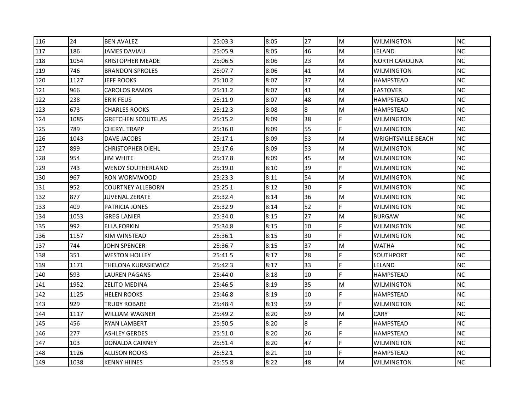| 116 | 24   | <b>BEN AVALEZ</b>         | 25:03.3 | 8:05 | 27 | M  | <b>WILMINGTON</b>         | <b>NC</b> |
|-----|------|---------------------------|---------|------|----|----|---------------------------|-----------|
| 117 | 186  | JAMES DAVIAU              | 25:05.9 | 8:05 | 46 | M  | LELAND                    | <b>NC</b> |
| 118 | 1054 | <b>KRISTOPHER MEADE</b>   | 25:06.5 | 8:06 | 23 | M  | <b>NORTH CAROLINA</b>     | <b>NC</b> |
| 119 | 746  | <b>BRANDON SPROLES</b>    | 25:07.7 | 8:06 | 41 | M  | <b>WILMINGTON</b>         | <b>NC</b> |
| 120 | 1127 | <b>JEFF ROOKS</b>         | 25:10.2 | 8:07 | 37 | M  | <b>HAMPSTEAD</b>          | <b>NC</b> |
| 121 | 966  | CAROLOS RAMOS             | 25:11.2 | 8:07 | 41 | M  | <b>EASTOVER</b>           | <b>NC</b> |
| 122 | 238  | <b>ERIK FEUS</b>          | 25:11.9 | 8:07 | 48 | M  | <b>HAMPSTEAD</b>          | NC        |
| 123 | 673  | <b>CHARLES ROOKS</b>      | 25:12.3 | 8:08 | 8  | M  | <b>HAMPSTEAD</b>          | <b>NC</b> |
| 124 | 1085 | <b>GRETCHEN SCOUTELAS</b> | 25:15.2 | 8:09 | 38 | F  | <b>WILMINGTON</b>         | <b>NC</b> |
| 125 | 789  | <b>CHERYL TRAPP</b>       | 25:16.0 | 8:09 | 55 | F  | <b>WILMINGTON</b>         | <b>NC</b> |
| 126 | 1043 | DAVE JACOBS               | 25:17.1 | 8:09 | 53 | M  | <b>WRIGHTSVILLE BEACH</b> | NC        |
| 127 | 899  | <b>CHRISTOPHER DIEHL</b>  | 25:17.6 | 8:09 | 53 | M  | <b>WILMINGTON</b>         | <b>NC</b> |
| 128 | 954  | JIM WHITE                 | 25:17.8 | 8:09 | 45 | M  | <b>WILMINGTON</b>         | <b>NC</b> |
| 129 | 743  | <b>WENDY SOUTHERLAND</b>  | 25:19.0 | 8:10 | 39 | F. | <b>WILMINGTON</b>         | <b>NC</b> |
| 130 | 967  | RON WORMWOOD              | 25:23.3 | 8:11 | 54 | M  | <b>WILMINGTON</b>         | <b>NC</b> |
| 131 | 952  | COURTNEY ALLEBORN         | 25:25.1 | 8:12 | 30 | F  | <b>WILMINGTON</b>         | NC.       |
| 132 | 877  | JUVENAL ZERATE            | 25:32.4 | 8:14 | 36 | M  | WILMINGTON                | <b>NC</b> |
| 133 | 409  | PATRICIA JONES            | 25:32.9 | 8:14 | 52 | F. | <b>WILMINGTON</b>         | <b>NC</b> |
| 134 | 1053 | <b>GREG LANIER</b>        | 25:34.0 | 8:15 | 27 | M  | <b>BURGAW</b>             | <b>NC</b> |
| 135 | 992  | <b>ELLA FORKIN</b>        | 25:34.8 | 8:15 | 10 | F  | <b>WILMINGTON</b>         | <b>NC</b> |
| 136 | 1157 | KIM WINSTEAD              | 25:36.1 | 8:15 | 30 | F  | <b>WILMINGTON</b>         | <b>NC</b> |
| 137 | 744  | JOHN SPENCER              | 25:36.7 | 8:15 | 37 | M  | <b>WATHA</b>              | <b>NC</b> |
| 138 | 351  | WESTON HOLLEY             | 25:41.5 | 8:17 | 28 | F  | SOUTHPORT                 | <b>NC</b> |
| 139 | 1171 | THELONA KURASIEWICZ       | 25:42.3 | 8:17 | 33 | F  | LELAND                    | <b>NC</b> |
| 140 | 593  | LAUREN PAGANS             | 25:44.0 | 8:18 | 10 | F  | <b>HAMPSTEAD</b>          | <b>NC</b> |
| 141 | 1952 | <b>ZELITO MEDINA</b>      | 25:46.5 | 8:19 | 35 | M  | <b>WILMINGTON</b>         | <b>NC</b> |
| 142 | 1125 | HELEN ROOKS               | 25:46.8 | 8:19 | 10 | F  | <b>HAMPSTEAD</b>          | <b>NC</b> |
| 143 | 929  | <b>TRUDY ROBARE</b>       | 25:48.4 | 8:19 | 59 | F  | <b>WILMINGTON</b>         | NC        |
| 144 | 1117 | <b>WILLIAM WAGNER</b>     | 25:49.2 | 8:20 | 69 | M  | <b>CARY</b>               | NC        |
| 145 | 456  | <b>RYAN LAMBERT</b>       | 25:50.5 | 8:20 | 8  | F. | <b>HAMPSTEAD</b>          | <b>NC</b> |
| 146 | 277  | <b>ASHLEY GERDES</b>      | 25:51.0 | 8:20 | 26 | F  | <b>HAMPSTEAD</b>          | <b>NC</b> |
| 147 | 103  | DONALDA CAIRNEY           | 25:51.4 | 8:20 | 47 | F  | <b>WILMINGTON</b>         | NC        |
| 148 | 1126 | ALLISON ROOKS             | 25:52.1 | 8:21 | 10 | F  | <b>HAMPSTEAD</b>          | <b>NC</b> |
| 149 | 1038 | KENNY HIINES              | 25:55.8 | 8:22 | 48 | M  | <b>WILMINGTON</b>         | <b>NC</b> |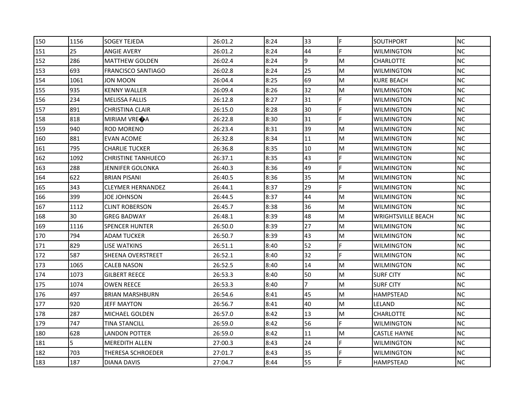| 150 | 1156 | <b>SOGEY TEJEDA</b>       | 26:01.2 | 8:24 | 33             | F  | <b>SOUTHPORT</b>          | <b>NC</b> |
|-----|------|---------------------------|---------|------|----------------|----|---------------------------|-----------|
| 151 | 25   | <b>ANGIE AVERY</b>        | 26:01.2 | 8:24 | 44             | F  | <b>WILMINGTON</b>         | NC        |
| 152 | 286  | <b>MATTHEW GOLDEN</b>     | 26:02.4 | 8:24 | 9              | M  | <b>CHARLOTTE</b>          | <b>NC</b> |
| 153 | 693  | <b>FRANCISCO SANTIAGO</b> | 26:02.8 | 8:24 | 25             | M  | <b>WILMINGTON</b>         | <b>NC</b> |
| 154 | 1061 | JON MOON                  | 26:04.4 | 8:25 | 69             | M  | <b>KURE BEACH</b>         | <b>NC</b> |
| 155 | 935  | KENNY WALLER              | 26:09.4 | 8:26 | 32             | M  | <b>WILMINGTON</b>         | <b>NC</b> |
| 156 | 234  | <b>MELISSA FALLIS</b>     | 26:12.8 | 8:27 | 31             | F  | <b>WILMINGTON</b>         | NC        |
| 157 | 891  | <b>CHRISTINA CLAIR</b>    | 26:15.0 | 8:28 | 30             | F  | <b>WILMINGTON</b>         | <b>NC</b> |
| 158 | 818  | MIRIAM VRE <sup>O</sup> A | 26:22.8 | 8:30 | 31             | F  | <b>WILMINGTON</b>         | <b>NC</b> |
| 159 | 940  | <b>ROD MORENO</b>         | 26:23.4 | 8:31 | 39             | M  | <b>WILMINGTON</b>         | <b>NC</b> |
| 160 | 881  | EVAN ACOME                | 26:32.8 | 8:34 | 11             | M  | <b>WILMINGTON</b>         | NC        |
| 161 | 795  | <b>CHARLIE TUCKER</b>     | 26:36.8 | 8:35 | 10             | M  | <b>WILMINGTON</b>         | <b>NC</b> |
| 162 | 1092 | <b>CHRISTINE TANHUECO</b> | 26:37.1 | 8:35 | 43             | F  | <b>WILMINGTON</b>         | <b>NC</b> |
| 163 | 288  | JENNIFER GOLONKA          | 26:40.3 | 8:36 | 49             | F. | WILMINGTON                | <b>NC</b> |
| 164 | 622  | <b>BRIAN PISANI</b>       | 26:40.5 | 8:36 | 35             | M  | <b>WILMINGTON</b>         | <b>NC</b> |
| 165 | 343  | CLEYMER HERNANDEZ         | 26:44.1 | 8:37 | 29             | F. | <b>WILMINGTON</b>         | NC        |
| 166 | 399  | JOE JOHNSON               | 26:44.5 | 8:37 | 44             | M  | WILMINGTON                | <b>NC</b> |
| 167 | 1112 | <b>CLINT ROBERSON</b>     | 26:45.7 | 8:38 | 36             | M  | <b>WILMINGTON</b>         | <b>NC</b> |
| 168 | 30   | <b>GREG BADWAY</b>        | 26:48.1 | 8:39 | 48             | M  | <b>WRIGHTSVILLE BEACH</b> | <b>NC</b> |
| 169 | 1116 | <b>SPENCER HUNTER</b>     | 26:50.0 | 8:39 | 27             | M  | <b>WILMINGTON</b>         | <b>NC</b> |
| 170 | 794  | ADAM TUCKER               | 26:50.7 | 8:39 | 43             | M  | <b>WILMINGTON</b>         | NC        |
| 171 | 829  | LISE WATKINS              | 26:51.1 | 8:40 | 52             | F  | WILMINGTON                | <b>NC</b> |
| 172 | 587  | SHEENA OVERSTREET         | 26:52.1 | 8:40 | 32             | F  | <b>WILMINGTON</b>         | <b>NC</b> |
| 173 | 1065 | <b>CALEB NASON</b>        | 26:52.5 | 8:40 | 14             | M  | <b>WILMINGTON</b>         | <b>NC</b> |
| 174 | 1073 | <b>GILBERT REECE</b>      | 26:53.3 | 8:40 | 50             | M  | <b>SURF CITY</b>          | <b>NC</b> |
| 175 | 1074 | <b>OWEN REECE</b>         | 26:53.3 | 8:40 | $\overline{7}$ | M  | <b>SURF CITY</b>          | <b>NC</b> |
| 176 | 497  | <b>BRIAN MARSHBURN</b>    | 26:54.6 | 8:41 | 45             | M  | HAMPSTEAD                 | NC        |
| 177 | 920  | JEFF MAYTON               | 26:56.7 | 8:41 | 40             | M  | LELAND                    | <b>NC</b> |
| 178 | 287  | MICHAEL GOLDEN            | 26:57.0 | 8:42 | 13             | M  | <b>CHARLOTTE</b>          | <b>NC</b> |
| 179 | 747  | TINA STANCILL             | 26:59.0 | 8:42 | 56             | F  | <b>WILMINGTON</b>         | <b>NC</b> |
| 180 | 628  | LANDON POTTER             | 26:59.0 | 8:42 | 11             | M  | <b>CASTLE HAYNE</b>       | <b>NC</b> |
| 181 | 5    | <b>MEREDITH ALLEN</b>     | 27:00.3 | 8:43 | 24             | F  | <b>WILMINGTON</b>         | <b>NC</b> |
| 182 | 703  | THERESA SCHROEDER         | 27:01.7 | 8:43 | 35             | F  | <b>WILMINGTON</b>         | NC        |
| 183 | 187  | <b>DIANA DAVIS</b>        | 27:04.7 | 8:44 | 55             |    | <b>HAMPSTEAD</b>          | <b>NC</b> |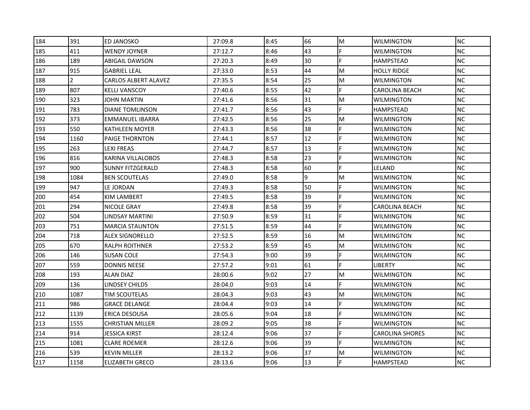| 184 | 391            | ED JANOSKO                  | 27:09.8 | 8:45 | 66 | M | <b>WILMINGTON</b>      | <b>NC</b> |
|-----|----------------|-----------------------------|---------|------|----|---|------------------------|-----------|
| 185 | 411            | <b>WENDY JOYNER</b>         | 27:12.7 | 8:46 | 43 | F | WILMINGTON             | <b>NC</b> |
| 186 | 189            | ABIGAIL DAWSON              | 27:20.3 | 8:49 | 30 | F | <b>HAMPSTEAD</b>       | <b>NC</b> |
| 187 | 915            | <b>GABRIEL LEAL</b>         | 27:33.0 | 8:53 | 44 | M | <b>HOLLY RIDGE</b>     | <b>NC</b> |
| 188 | $\overline{2}$ | <b>CARLOS ALBERT ALAVEZ</b> | 27:35.5 | 8:54 | 25 | M | WILMINGTON             | <b>NC</b> |
| 189 | 807            | KELLI VANSCOY               | 27:40.6 | 8:55 | 42 | F | <b>CAROLINA BEACH</b>  | <b>NC</b> |
| 190 | 323            | JOHN MARTIN                 | 27:41.6 | 8:56 | 31 | M | WILMINGTON             | <b>NC</b> |
| 191 | 783            | <b>DIANE TOMLINSON</b>      | 27:41.7 | 8:56 | 43 | F | <b>HAMPSTEAD</b>       | <b>NC</b> |
| 192 | 373            | EMMANUEL IBARRA             | 27:42.5 | 8:56 | 25 | M | <b>WILMINGTON</b>      | <b>NC</b> |
| 193 | 550            | <b>KATHLEEN MOYER</b>       | 27:43.3 | 8:56 | 38 | F | WILMINGTON             | <b>NC</b> |
| 194 | 1160           | PAIGE THORNTON              | 27:44.1 | 8:57 | 12 | F | WILMINGTON             | <b>NC</b> |
| 195 | 263            | LEXI FREAS                  | 27:44.7 | 8:57 | 13 | F | WILMINGTON             | <b>NC</b> |
| 196 | 816            | KARINA VILLALOBOS           | 27:48.3 | 8:58 | 23 |   | <b>WILMINGTON</b>      | <b>NC</b> |
| 197 | 900            | <b>SUNNY FITZGERALD</b>     | 27:48.3 | 8:58 | 60 | F | LELAND                 | <b>NC</b> |
| 198 | 1084           | <b>BEN SCOUTELAS</b>        | 27:49.0 | 8:58 | 9  | M | WILMINGTON             | <b>NC</b> |
| 199 | 947            | LE JORDAN                   | 27:49.3 | 8:58 | 50 | F | WILMINGTON             | <b>NC</b> |
| 200 | 454            | KIM LAMBERT                 | 27:49.5 | 8:58 | 39 | F | WILMINGTON             | <b>NC</b> |
| 201 | 294            | NICOLE GRAY                 | 27:49.8 | 8:58 | 39 |   | <b>CAROLINA BEACH</b>  | <b>NC</b> |
| 202 | 504            | LINDSAY MARTINI             | 27:50.9 | 8:59 | 31 | F | <b>WILMINGTON</b>      | <b>NC</b> |
| 203 | 751            | <b>MARCIA STAUNTON</b>      | 27:51.5 | 8:59 | 44 | F | WILMINGTON             | <b>NC</b> |
| 204 | 718            | ALEX SIGNORELLO             | 27:52.5 | 8:59 | 16 | M | WILMINGTON             | <b>NC</b> |
| 205 | 670            | RALPH ROITHNER              | 27:53.2 | 8:59 | 45 | M | WILMINGTON             | <b>NC</b> |
| 206 | 146            | <b>SUSAN COLE</b>           | 27:54.3 | 9:00 | 39 | F | WILMINGTON             | <b>NC</b> |
| 207 | 559            | <b>DONNIS NEESE</b>         | 27:57.2 | 9:01 | 61 | F | LIBERTY                | <b>NC</b> |
| 208 | 193            | <b>ALAN DIAZ</b>            | 28:00.6 | 9:02 | 27 | M | <b>WILMINGTON</b>      | <b>NC</b> |
| 209 | 136            | LINDSEY CHILDS              | 28:04.0 | 9:03 | 14 |   | WILMINGTON             | <b>NC</b> |
| 210 | 1087           | TIM SCOUTELAS               | 28:04.3 | 9:03 | 43 | M | WILMINGTON             | <b>NC</b> |
| 211 | 986            | <b>GRACE DELANGE</b>        | 28:04.4 | 9:03 | 14 | F | WILMINGTON             | <b>NC</b> |
| 212 | 1139           | <b>ERICA DESOUSA</b>        | 28:05.6 | 9:04 | 18 | F | <b>WILMINGTON</b>      | <b>NC</b> |
| 213 | 1555           | <b>CHRISTIAN MILLER</b>     | 28:09.2 | 9:05 | 38 | F | <b>WILMINGTON</b>      | <b>NC</b> |
| 214 | 914            | JESSICA KIRST               | 28:12.4 | 9:06 | 37 | F | <b>CAROLINA SHORES</b> | <b>NC</b> |
| 215 | 1081           | <b>CLARE ROEMER</b>         | 28:12.6 | 9:06 | 39 | F | WILMINGTON             | <b>NC</b> |
| 216 | 539            | <b>KEVIN MILLER</b>         | 28:13.2 | 9:06 | 37 | M | <b>WILMINGTON</b>      | <b>NC</b> |
| 217 | 1158           | <b>ELIZABETH GRECO</b>      | 28:13.6 | 9:06 | 13 |   | <b>HAMPSTEAD</b>       | <b>NC</b> |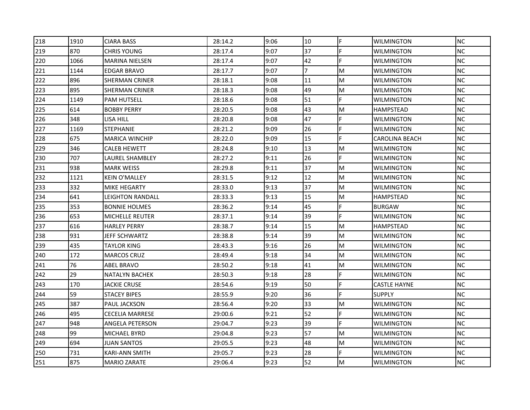| 218 | 1910 | <b>CIARA BASS</b>      | 28:14.2 | 9:06 | 10             | F | <b>WILMINGTON</b>   | <b>NC</b> |
|-----|------|------------------------|---------|------|----------------|---|---------------------|-----------|
| 219 | 870  | <b>CHRIS YOUNG</b>     | 28:17.4 | 9:07 | 37             | F | <b>WILMINGTON</b>   | NC        |
| 220 | 1066 | <b>MARINA NIELSEN</b>  | 28:17.4 | 9:07 | 42             | F | <b>WILMINGTON</b>   | <b>NC</b> |
| 221 | 1144 | <b>EDGAR BRAVO</b>     | 28:17.7 | 9:07 | $\overline{7}$ | M | <b>WILMINGTON</b>   | <b>NC</b> |
| 222 | 896  | <b>SHERMAN CRINER</b>  | 28:18.1 | 9:08 | 11             | M | WILMINGTON          | <b>NC</b> |
| 223 | 895  | <b>SHERMAN CRINER</b>  | 28:18.3 | 9:08 | 49             | M | WILMINGTON          | <b>NC</b> |
| 224 | 1149 | <b>PAM HUTSELL</b>     | 28:18.6 | 9:08 | 51             | F | <b>WILMINGTON</b>   | NC.       |
| 225 | 614  | <b>BOBBY PERRY</b>     | 28:20.5 | 9:08 | 43             | M | <b>HAMPSTEAD</b>    | <b>NC</b> |
| 226 | 348  | LISA HILL              | 28:20.8 | 9:08 | 47             | F | <b>WILMINGTON</b>   | <b>NC</b> |
| 227 | 1169 | <b>STEPHANIE</b>       | 28:21.2 | 9:09 | 26             | F | <b>WILMINGTON</b>   | NC        |
| 228 | 675  | <b>MARICA WINCHIP</b>  | 28:22.0 | 9:09 | 15             | F | CAROLINA BEACH      | <b>NC</b> |
| 229 | 346  | <b>CALEB HEWETT</b>    | 28:24.8 | 9:10 | 13             | M | WILMINGTON          | <b>NC</b> |
| 230 | 707  | LAUREL SHAMBLEY        | 28:27.2 | 9:11 | 26             |   | <b>WILMINGTON</b>   | <b>NC</b> |
| 231 | 938  | <b>MARK WEISS</b>      | 28:29.8 | 9:11 | 37             | M | <b>WILMINGTON</b>   | <b>NC</b> |
| 232 | 1121 | KEIN O'MALLEY          | 28:31.5 | 9:12 | 12             | M | WILMINGTON          | NC.       |
| 233 | 332  | MIKE HEGARTY           | 28:33.0 | 9:13 | 37             | M | <b>WILMINGTON</b>   | NC.       |
| 234 | 641  | LEIGHTON RANDALL       | 28:33.3 | 9:13 | 15             | M | HAMPSTEAD           | <b>NC</b> |
| 235 | 353  | <b>BONNIE HOLMES</b>   | 28:36.2 | 9:14 | 45             | F | <b>BURGAW</b>       | <b>NC</b> |
| 236 | 653  | <b>MICHELLE REUTER</b> | 28:37.1 | 9:14 | 39             | F | <b>WILMINGTON</b>   | <b>NC</b> |
| 237 | 616  | <b>HARLEY PERRY</b>    | 28:38.7 | 9:14 | 15             | M | <b>HAMPSTEAD</b>    | <b>NC</b> |
| 238 | 931  | JEFF SCHWARTZ          | 28:38.8 | 9:14 | 39             | M | WILMINGTON          | NC        |
| 239 | 435  | TAYLOR KING            | 28:43.3 | 9:16 | 26             | M | WILMINGTON          | <b>NC</b> |
| 240 | 172  | <b>MARCOS CRUZ</b>     | 28:49.4 | 9:18 | 34             | M | WILMINGTON          | <b>NC</b> |
| 241 | 76   | ABEL BRAVO             | 28:50.2 | 9:18 | 41             | M | <b>WILMINGTON</b>   | <b>NC</b> |
| 242 | 29   | <b>NATALYN BACHEK</b>  | 28:50.3 | 9:18 | 28             | F | <b>WILMINGTON</b>   | <b>NC</b> |
| 243 | 170  | JACKIE CRUSE           | 28:54.6 | 9:19 | 50             | F | <b>CASTLE HAYNE</b> | <b>NC</b> |
| 244 | 59   | <b>STACEY BIPES</b>    | 28:55.9 | 9:20 | 36             | F | <b>SUPPLY</b>       | NC        |
| 245 | 387  | <b>PAUL JACKSON</b>    | 28:56.4 | 9:20 | 33             | M | WILMINGTON          | <b>NC</b> |
| 246 | 495  | <b>CECELIA MARRESE</b> | 29:00.6 | 9:21 | 52             | F | <b>WILMINGTON</b>   | <b>NC</b> |
| 247 | 948  | ANGELA PETERSON        | 29:04.7 | 9:23 | 39             | F | <b>WILMINGTON</b>   | <b>NC</b> |
| 248 | 99   | MICHAEL BYRD           | 29:04.8 | 9:23 | 57             | M | WILMINGTON          | NC.       |
| 249 | 694  | JUAN SANTOS            | 29:05.5 | 9:23 | 48             | M | WILMINGTON          | <b>NC</b> |
| 250 | 731  | KARI-ANN SMITH         | 29:05.7 | 9:23 | 28             | F | WILMINGTON          | NC        |
| 251 | 875  | <b>MARIO ZARATE</b>    | 29:06.4 | 9:23 | 52             | M | <b>WILMINGTON</b>   | <b>NC</b> |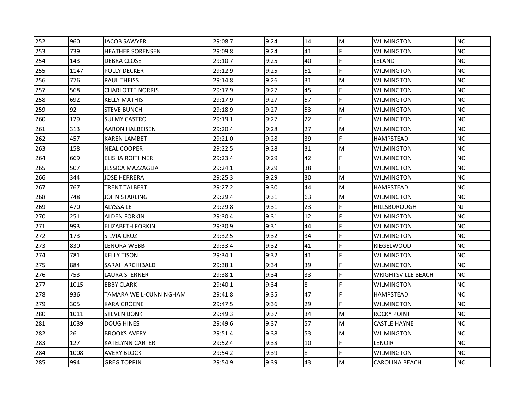| 252 | 960  | JACOB SAWYER             | 29:08.7 | 9:24 | 14 | M | <b>WILMINGTON</b>         | <b>NC</b> |
|-----|------|--------------------------|---------|------|----|---|---------------------------|-----------|
| 253 | 739  | <b>HEATHER SORENSEN</b>  | 29:09.8 | 9:24 | 41 |   | <b>WILMINGTON</b>         | <b>NC</b> |
| 254 | 143  | DEBRA CLOSE              | 29:10.7 | 9:25 | 40 | E | LELAND                    | <b>NC</b> |
| 255 | 1147 | <b>POLLY DECKER</b>      | 29:12.9 | 9:25 | 51 | F | <b>WILMINGTON</b>         | <b>NC</b> |
| 256 | 776  | <b>PAUL THEISS</b>       | 29:14.8 | 9:26 | 31 | M | <b>WILMINGTON</b>         | <b>NC</b> |
| 257 | 568  | <b>CHARLOTTE NORRIS</b>  | 29:17.9 | 9:27 | 45 | F | WILMINGTON                | <b>NC</b> |
| 258 | 692  | <b>KELLY MATHIS</b>      | 29:17.9 | 9:27 | 57 | F | WILMINGTON                | <b>NC</b> |
| 259 | 92   | <b>STEVE BUNCH</b>       | 29:18.9 | 9:27 | 53 | M | <b>WILMINGTON</b>         | <b>NC</b> |
| 260 | 129  | <b>SULMY CASTRO</b>      | 29:19.1 | 9:27 | 22 | F | <b>WILMINGTON</b>         | <b>NC</b> |
| 261 | 313  | AARON HALBEISEN          | 29:20.4 | 9:28 | 27 | M | WILMINGTON                | <b>NC</b> |
| 262 | 457  | KAREN LAMBET             | 29:21.0 | 9:28 | 39 | F | HAMPSTEAD                 | <b>NC</b> |
| 263 | 158  | <b>NEAL COOPER</b>       | 29:22.5 | 9:28 | 31 | M | WILMINGTON                | <b>NC</b> |
| 264 | 669  | <b>ELISHA ROITHNER</b>   | 29:23.4 | 9:29 | 42 |   | <b>WILMINGTON</b>         | <b>NC</b> |
| 265 | 507  | <b>JESSICA MAZZAGLIA</b> | 29:24.1 | 9:29 | 38 | F | <b>WILMINGTON</b>         | <b>NC</b> |
| 266 | 344  | JOSE HERRERA             | 29:25.3 | 9:29 | 30 | M | WILMINGTON                | <b>NC</b> |
| 267 | 767  | TRENT TALBERT            | 29:27.2 | 9:30 | 44 | M | HAMPSTEAD                 | <b>NC</b> |
| 268 | 748  | JOHN STARLING            | 29:29.4 | 9:31 | 63 | M | WILMINGTON                | <b>NC</b> |
| 269 | 470  | ALYSSA LE                | 29:29.8 | 9:31 | 23 | F | HILLSBOROUGH              | NJ        |
| 270 | 251  | ALDEN FORKIN             | 29:30.4 | 9:31 | 12 | F | <b>WILMINGTON</b>         | <b>NC</b> |
| 271 | 993  | <b>ELIZABETH FORKIN</b>  | 29:30.9 | 9:31 | 44 | F | WILMINGTON                | <b>NC</b> |
| 272 | 173  | SILVIA CRUZ              | 29:32.5 | 9:32 | 34 | F | WILMINGTON                | <b>NC</b> |
| 273 | 830  | LENORA WEBB              | 29:33.4 | 9:32 | 41 |   | RIEGELWOOD                | <b>NC</b> |
| 274 | 781  | <b>KELLY TISON</b>       | 29:34.1 | 9:32 | 41 | F | WILMINGTON                | <b>NC</b> |
| 275 | 884  | SARAH ARCHIBALD          | 29:38.1 | 9:34 | 39 |   | <b>WILMINGTON</b>         | <b>NC</b> |
| 276 | 753  | LAURA STERNER            | 29:38.1 | 9:34 | 33 | F | <b>WRIGHTSVILLE BEACH</b> | <b>NC</b> |
| 277 | 1015 | <b>EBBY CLARK</b>        | 29:40.1 | 9:34 | 8  | F | WILMINGTON                | <b>NC</b> |
| 278 | 936  | TAMARA WEIL-CUNNINGHAM   | 29:41.8 | 9:35 | 47 | F | HAMPSTEAD                 | <b>NC</b> |
| 279 | 305  | <b>KARA GROENE</b>       | 29:47.5 | 9:36 | 29 | F | WILMINGTON                | <b>NC</b> |
| 280 | 1011 | <b>STEVEN BONK</b>       | 29:49.3 | 9:37 | 34 | M | <b>ROCKY POINT</b>        | <b>NC</b> |
| 281 | 1039 | <b>DOUG HINES</b>        | 29:49.6 | 9:37 | 57 | M | <b>CASTLE HAYNE</b>       | <b>NC</b> |
| 282 | 26   | <b>BROOKS AVERY</b>      | 29:51.4 | 9:38 | 53 | M | WILMINGTON                | <b>NC</b> |
| 283 | 127  | <b>KATELYNN CARTER</b>   | 29:52.4 | 9:38 | 10 | F | LENOIR                    | <b>NC</b> |
| 284 | 1008 | <b>AVERY BLOCK</b>       | 29:54.2 | 9:39 | 8  | F | WILMINGTON                | <b>NC</b> |
| 285 | 994  | <b>GREG TOPPIN</b>       | 29:54.9 | 9:39 | 43 | M | <b>CAROLINA BEACH</b>     | <b>NC</b> |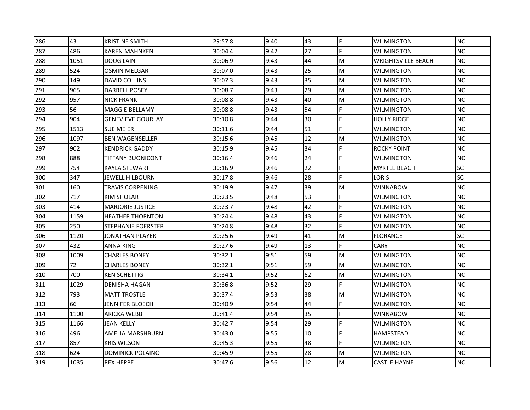| 286 | 43   | <b>KRISTINE SMITH</b>     | 29:57.8 | 9:40 | 43 | F | <b>WILMINGTON</b>         | <b>NC</b> |
|-----|------|---------------------------|---------|------|----|---|---------------------------|-----------|
| 287 | 486  | KAREN MAHNKEN             | 30:04.4 | 9:42 | 27 | F | <b>WILMINGTON</b>         | <b>NC</b> |
| 288 | 1051 | <b>DOUG LAIN</b>          | 30:06.9 | 9:43 | 44 | M | <b>WRIGHTSVILLE BEACH</b> | <b>NC</b> |
| 289 | 524  | <b>OSMIN MELGAR</b>       | 30:07.0 | 9:43 | 25 | M | <b>WILMINGTON</b>         | <b>NC</b> |
| 290 | 149  | DAVID COLLINS             | 30:07.3 | 9:43 | 35 | M | <b>WILMINGTON</b>         | <b>NC</b> |
| 291 | 965  | DARRELL POSEY             | 30:08.7 | 9:43 | 29 | M | WILMINGTON                | <b>NC</b> |
| 292 | 957  | <b>NICK FRANK</b>         | 30:08.8 | 9:43 | 40 | M | <b>WILMINGTON</b>         | NC        |
| 293 | 56   | <b>MAGGIE BELLAMY</b>     | 30:08.8 | 9:43 | 54 | F | <b>WILMINGTON</b>         | <b>NC</b> |
| 294 | 904  | <b>GENEVIEVE GOURLAY</b>  | 30:10.8 | 9:44 | 30 | F | <b>HOLLY RIDGE</b>        | <b>NC</b> |
| 295 | 1513 | <b>SUE MEIER</b>          | 30:11.6 | 9:44 | 51 | F | <b>WILMINGTON</b>         | <b>NC</b> |
| 296 | 1097 | <b>BEN WAGENSELLER</b>    | 30:15.6 | 9:45 | 12 | M | <b>WILMINGTON</b>         | <b>NC</b> |
| 297 | 902  | KENDRICK GADDY            | 30:15.9 | 9:45 | 34 | F | ROCKY POINT               | <b>NC</b> |
| 298 | 888  | <b>TIFFANY BUONICONTI</b> | 30:16.4 | 9:46 | 24 |   | <b>WILMINGTON</b>         | <b>NC</b> |
| 299 | 754  | KAYLA STEWART             | 30:16.9 | 9:46 | 22 | F | <b>MYRTLE BEACH</b>       | <b>SC</b> |
| 300 | 347  | JEWELL HILBOURN           | 30:17.8 | 9:46 | 28 | F | LORIS                     | <b>SC</b> |
| 301 | 160  | TRAVIS CORPENING          | 30:19.9 | 9:47 | 39 | M | <b>WINNABOW</b>           | <b>NC</b> |
| 302 | 717  | KIM SHOLAR                | 30:23.5 | 9:48 | 53 | F | WILMINGTON                | NC        |
| 303 | 414  | <b>MARJORIE JUSTICE</b>   | 30:23.7 | 9:48 | 42 | F | <b>WILMINGTON</b>         | <b>NC</b> |
| 304 | 1159 | <b>HEATHER THORNTON</b>   | 30:24.4 | 9:48 | 43 | F | <b>WILMINGTON</b>         | <b>NC</b> |
| 305 | 250  | STEPHANIE FOERSTER        | 30:24.8 | 9:48 | 32 | F | <b>WILMINGTON</b>         | <b>NC</b> |
| 306 | 1120 | JONATHAN PLAYER           | 30:25.6 | 9:49 | 41 | M | <b>FLORANCE</b>           | <b>SC</b> |
| 307 | 432  | ANNA KING                 | 30:27.6 | 9:49 | 13 | F | <b>CARY</b>               | <b>NC</b> |
| 308 | 1009 | <b>CHARLES BONEY</b>      | 30:32.1 | 9:51 | 59 | M | <b>WILMINGTON</b>         | <b>NC</b> |
| 309 | 72   | <b>CHARLES BONEY</b>      | 30:32.1 | 9:51 | 59 | M | <b>WILMINGTON</b>         | <b>NC</b> |
| 310 | 700  | KEN SCHETTIG              | 30:34.1 | 9:52 | 62 | M | <b>WILMINGTON</b>         | <b>NC</b> |
| 311 | 1029 | DENISHA HAGAN             | 30:36.8 | 9:52 | 29 | F | <b>WILMINGTON</b>         | <b>NC</b> |
| 312 | 793  | <b>MATT TROSTLE</b>       | 30:37.4 | 9:53 | 38 | M | <b>WILMINGTON</b>         | <b>NC</b> |
| 313 | 66   | JENNIFER BLOECH           | 30:40.9 | 9:54 | 44 | F | <b>WILMINGTON</b>         | NC        |
| 314 | 1100 | <b>ARICKA WEBB</b>        | 30:41.4 | 9:54 | 35 | F | <b>WINNABOW</b>           | <b>NC</b> |
| 315 | 1166 | JEAN KELLY                | 30:42.7 | 9:54 | 29 | F | <b>WILMINGTON</b>         | <b>NC</b> |
| 316 | 496  | AMELIA MARSHBURN          | 30:43.0 | 9:55 | 10 | F | <b>HAMPSTEAD</b>          | <b>NC</b> |
| 317 | 857  | KRIS WILSON               | 30:45.3 | 9:55 | 48 | F | <b>WILMINGTON</b>         | NC        |
| 318 | 624  | DOMINICK POLAINO          | 30:45.9 | 9:55 | 28 | M | <b>WILMINGTON</b>         | <b>NC</b> |
| 319 | 1035 | <b>REX HEPPE</b>          | 30:47.6 | 9:56 | 12 | M | <b>CASTLE HAYNE</b>       | <b>NC</b> |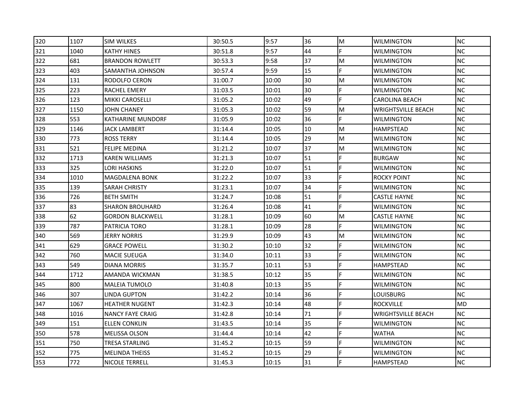| 320 | 1107 | <b>SIM WILKES</b>       | 30:50.5 | 9:57  | 36 | M | <b>WILMINGTON</b>         | <b>NC</b> |
|-----|------|-------------------------|---------|-------|----|---|---------------------------|-----------|
| 321 | 1040 | KATHY HINES             | 30:51.8 | 9:57  | 44 | F | <b>WILMINGTON</b>         | <b>NC</b> |
| 322 | 681  | <b>BRANDON ROWLETT</b>  | 30:53.3 | 9:58  | 37 | M | <b>WILMINGTON</b>         | <b>NC</b> |
| 323 | 403  | SAMANTHA JOHNSON        | 30:57.4 | 9:59  | 15 | F | <b>WILMINGTON</b>         | <b>NC</b> |
| 324 | 131  | RODOLFO CERON           | 31:00.7 | 10:00 | 30 | M | <b>WILMINGTON</b>         | <b>NC</b> |
| 325 | 223  | RACHEL EMERY            | 31:03.5 | 10:01 | 30 | F | WILMINGTON                | <b>NC</b> |
| 326 | 123  | <b>MIKKI CAROSELLI</b>  | 31:05.2 | 10:02 | 49 | F | <b>CAROLINA BEACH</b>     | NC        |
| 327 | 1150 | JOHN CHANEY             | 31:05.3 | 10:02 | 59 | M | <b>WRIGHTSVILLE BEACH</b> | <b>NC</b> |
| 328 | 553  | KATHARINE MUNDORF       | 31:05.9 | 10:02 | 36 | F | <b>WILMINGTON</b>         | <b>NC</b> |
| 329 | 1146 | JACK LAMBERT            | 31:14.4 | 10:05 | 10 | M | <b>HAMPSTEAD</b>          | NC        |
| 330 | 773  | ROSS TERRY              | 31:14.4 | 10:05 | 29 | M | <b>WILMINGTON</b>         | NC        |
| 331 | 521  | FELIPE MEDINA           | 31:21.2 | 10:07 | 37 | M | <b>WILMINGTON</b>         | <b>NC</b> |
| 332 | 1713 | KAREN WILLIAMS          | 31:21.3 | 10:07 | 51 | E | <b>BURGAW</b>             | <b>NC</b> |
| 333 | 325  | LORI HASKINS            | 31:22.0 | 10:07 | 51 | F | <b>WILMINGTON</b>         | <b>NC</b> |
| 334 | 1010 | <b>MAGDALENA BONK</b>   | 31:22.2 | 10:07 | 33 | F | <b>ROCKY POINT</b>        | NC        |
| 335 | 139  | SARAH CHRISTY           | 31:23.1 | 10:07 | 34 | E | <b>WILMINGTON</b>         | NC        |
| 336 | 726  | <b>BETH SMITH</b>       | 31:24.7 | 10:08 | 51 | F | <b>CASTLE HAYNE</b>       | <b>NC</b> |
| 337 | 83   | <b>SHARON BROUHARD</b>  | 31:26.4 | 10:08 | 41 | F | <b>WILMINGTON</b>         | NC        |
| 338 | 62   | <b>GORDON BLACKWELL</b> | 31:28.1 | 10:09 | 60 | M | <b>CASTLE HAYNE</b>       | <b>NC</b> |
| 339 | 787  | PATRICIA TORO           | 31:28.1 | 10:09 | 28 | F | <b>WILMINGTON</b>         | <b>NC</b> |
| 340 | 569  | JERRY NORRIS            | 31:29.9 | 10:09 | 43 | M | <b>WILMINGTON</b>         | NC        |
| 341 | 629  | <b>GRACE POWELL</b>     | 31:30.2 | 10:10 | 32 | F | WILMINGTON                | <b>NC</b> |
| 342 | 760  | <b>MACIE SUEUGA</b>     | 31:34.0 | 10:11 | 33 | F | <b>WILMINGTON</b>         | NC        |
| 343 | 549  | DIANA MORRIS            | 31:35.7 | 10:11 | 53 |   | <b>HAMPSTEAD</b>          | <b>NC</b> |
| 344 | 1712 | AMANDA WICKMAN          | 31:38.5 | 10:12 | 35 | F | <b>WILMINGTON</b>         | <b>NC</b> |
| 345 | 800  | MALEIA TUMOLO           | 31:40.8 | 10:13 | 35 | F | <b>WILMINGTON</b>         | <b>NC</b> |
| 346 | 307  | LINDA GUPTON            | 31:42.2 | 10:14 | 36 | F | LOUISBURG                 | NC        |
| 347 | 1067 | <b>HEATHER NUGENT</b>   | 31:42.3 | 10:14 | 48 | F | <b>ROCKVILLE</b>          | MD        |
| 348 | 1016 | <b>NANCY FAYE CRAIG</b> | 31:42.8 | 10:14 | 71 | F | <b>WRIGHTSVILLE BEACH</b> | <b>NC</b> |
| 349 | 151  | ELLEN CONKLIN           | 31:43.5 | 10:14 | 35 | F | <b>WILMINGTON</b>         | <b>NC</b> |
| 350 | 578  | <b>MELISSA OLSON</b>    | 31:44.4 | 10:14 | 42 | F | <b>WATHA</b>              | NC.       |
| 351 | 750  | TRESA STARLING          | 31:45.2 | 10:15 | 59 | F | WILMINGTON                | NC        |
| 352 | 775  | <b>MELINDA THEISS</b>   | 31:45.2 | 10:15 | 29 | F | <b>WILMINGTON</b>         | NC        |
| 353 | 772  | NICOLE TERRELL          | 31:45.3 | 10:15 | 31 |   | <b>HAMPSTEAD</b>          | <b>NC</b> |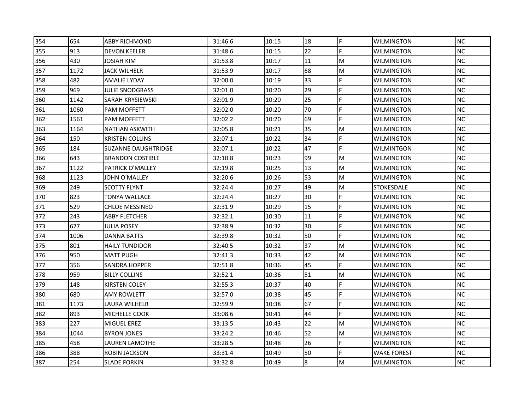| 354 | 654  | <b>ABBY RICHMOND</b>       | 31:46.6 | 10:15 | 18 | F | <b>WILMINGTON</b> | <b>NC</b> |
|-----|------|----------------------------|---------|-------|----|---|-------------------|-----------|
| 355 | 913  | <b>DEVON KEELER</b>        | 31:48.6 | 10:15 | 22 | F | WILMINGTON        | <b>NC</b> |
| 356 | 430  | JOSIAH KIM                 | 31:53.8 | 10:17 | 11 | M | <b>WILMINGTON</b> | <b>NC</b> |
| 357 | 1172 | <b>JACK WILHELR</b>        | 31:53.9 | 10:17 | 68 | M | <b>WILMINGTON</b> | <b>NC</b> |
| 358 | 482  | AMALIE LYDAY               | 32:00.0 | 10:19 | 33 | E | WILMINGTON        | <b>NC</b> |
| 359 | 969  | JULIE SNODGRASS            | 32:01.0 | 10:20 | 29 | F | WILMINGTON        | <b>NC</b> |
| 360 | 1142 | SARAH KRYSIEWSKI           | 32:01.9 | 10:20 | 25 | F | WILMINGTON        | <b>NC</b> |
| 361 | 1060 | PAM MOFFETT                | 32:02.0 | 10:20 | 70 |   | <b>WILMINGTON</b> | <b>NC</b> |
| 362 | 1561 | PAM MOFFETT                | 32:02.2 | 10:20 | 69 | F | <b>WILMINGTON</b> | <b>NC</b> |
| 363 | 1164 | NATHAN ASKWITH             | 32:05.8 | 10:21 | 35 | M | WILMINGTON        | <b>NC</b> |
| 364 | 150  | <b>KRISTEN COLLINS</b>     | 32:07.1 | 10:22 | 34 |   | WILMINGTON        | <b>NC</b> |
| 365 | 184  | <b>SUZANNE DAUGHTRIDGE</b> | 32:07.1 | 10:22 | 47 | F | WILMINTGON        | <b>NC</b> |
| 366 | 643  | <b>BRANDON COSTIBLE</b>    | 32:10.8 | 10:23 | 99 | M | <b>WILMINGTON</b> | <b>NC</b> |
| 367 | 1122 | PATRICK O'MALLEY           | 32:19.8 | 10:25 | 13 | M | <b>WILMINGTON</b> | <b>NC</b> |
| 368 | 1123 | JOHN O'MALLEY              | 32:20.6 | 10:26 | 53 | M | WILMINGTON        | <b>NC</b> |
| 369 | 249  | SCOTTY FLYNT               | 32:24.4 | 10:27 | 49 | M | STOKESDALE        | <b>NC</b> |
| 370 | 823  | TONYA WALLACE              | 32:24.4 | 10:27 | 30 | F | WILMINGTON        | <b>NC</b> |
| 371 | 529  | <b>CHLOE MESSINEO</b>      | 32:31.9 | 10:29 | 15 |   | WILMINGTON        | <b>NC</b> |
| 372 | 243  | <b>ABBY FLETCHER</b>       | 32:32.1 | 10:30 | 11 | F | <b>WILMINGTON</b> | <b>NC</b> |
| 373 | 627  | JULIA POSEY                | 32:38.9 | 10:32 | 30 | F | WILMINGTON        | <b>NC</b> |
| 374 | 1006 | DANNA BATTS                | 32:39.8 | 10:32 | 50 | F | WILMINGTON        | <b>NC</b> |
| 375 | 801  | <b>HAILY TUNDIDOR</b>      | 32:40.5 | 10:32 | 37 | M | WILMINGTON        | <b>NC</b> |
| 376 | 950  | <b>MATT PUGH</b>           | 32:41.3 | 10:33 | 42 | M | WILMINGTON        | <b>NC</b> |
| 377 | 356  | SANDRA HOPPER              | 32:51.8 | 10:36 | 45 | F | <b>WILMINGTON</b> | <b>NC</b> |
| 378 | 959  | <b>BILLY COLLINS</b>       | 32:52.1 | 10:36 | 51 | M | <b>WILMINGTON</b> | <b>NC</b> |
| 379 | 148  | KIRSTEN COLEY              | 32:55.3 | 10:37 | 40 |   | WILMINGTON        | <b>NC</b> |
| 380 | 680  | AMY ROWLETT                | 32:57.0 | 10:38 | 45 | F | WILMINGTON        | <b>NC</b> |
| 381 | 1173 | LAURA WILHELR              | 32:59.9 | 10:38 | 67 | F | WILMINGTON        | NC.       |
| 382 | 893  | MICHELLE COOK              | 33:08.6 | 10:41 | 44 | F | <b>WILMINGTON</b> | <b>NC</b> |
| 383 | 227  | MIGUEL EREZ                | 33:13.5 | 10:43 | 22 | M | <b>WILMINGTON</b> | <b>NC</b> |
| 384 | 1044 | <b>BYRON JONES</b>         | 33:24.2 | 10:46 | 52 | M | WILMINGTON        | <b>NC</b> |
| 385 | 458  | LAUREN LAMOTHE             | 33:28.5 | 10:48 | 26 | F | WILMINGTON        | <b>NC</b> |
| 386 | 388  | ROBIN JACKSON              | 33:31.4 | 10:49 | 50 | F | WAKE FOREST       | <b>NC</b> |
| 387 | 254  | <b>SLADE FORKIN</b>        | 33:32.8 | 10:49 | 8  | M | <b>WILMINGTON</b> | <b>NC</b> |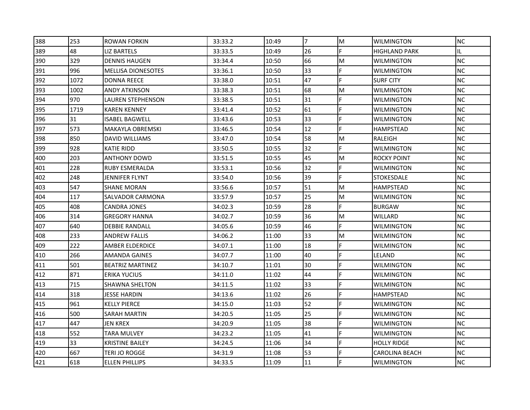| 388 | 253  | ROWAN FORKIN              | 33:33.2 | 10:49 | 7  | M | <b>WILMINGTON</b>     | <b>NC</b> |
|-----|------|---------------------------|---------|-------|----|---|-----------------------|-----------|
| 389 | 48   | LIZ BARTELS               | 33:33.5 | 10:49 | 26 | F | <b>HIGHLAND PARK</b>  | IL.       |
| 390 | 329  | <b>DENNIS HAUGEN</b>      | 33:34.4 | 10:50 | 66 | M | <b>WILMINGTON</b>     | <b>NC</b> |
| 391 | 996  | <b>MELLISA DIONESOTES</b> | 33:36.1 | 10:50 | 33 | F | <b>WILMINGTON</b>     | <b>NC</b> |
| 392 | 1072 | <b>DONNA REECE</b>        | 33:38.0 | 10:51 | 47 | F | <b>SURF CITY</b>      | <b>NC</b> |
| 393 | 1002 | ANDY ATKINSON             | 33:38.3 | 10:51 | 68 | M | WILMINGTON            | <b>NC</b> |
| 394 | 970  | LAUREN STEPHENSON         | 33:38.5 | 10:51 | 31 | F | WILMINGTON            | <b>NC</b> |
| 395 | 1719 | <b>KAREN KENNEY</b>       | 33:41.4 | 10:52 | 61 | F | <b>WILMINGTON</b>     | <b>NC</b> |
| 396 | 31   | <b>ISABEL BAGWELL</b>     | 33:43.6 | 10:53 | 33 | F | WILMINGTON            | <b>NC</b> |
| 397 | 573  | MAKAYLA OBREMSKI          | 33:46.5 | 10:54 | 12 | F | <b>HAMPSTEAD</b>      | <b>NC</b> |
| 398 | 850  | DAVID WILLIAMS            | 33:47.0 | 10:54 | 58 | M | RALEIGH               | <b>NC</b> |
| 399 | 928  | KATIE RIDD                | 33:50.5 | 10:55 | 32 | F | WILMINGTON            | <b>NC</b> |
| 400 | 203  | <b>ANTHONY DOWD</b>       | 33:51.5 | 10:55 | 45 | M | <b>ROCKY POINT</b>    | <b>NC</b> |
| 401 | 228  | <b>RUBY ESMERALDA</b>     | 33:53.1 | 10:56 | 32 | F | <b>WILMINGTON</b>     | <b>NC</b> |
| 402 | 248  | JENNIFER FLYNT            | 33:54.0 | 10:56 | 39 | F | <b>STOKESDALE</b>     | <b>NC</b> |
| 403 | 547  | SHANE MORAN               | 33:56.6 | 10:57 | 51 | M | HAMPSTEAD             | <b>NC</b> |
| 404 | 117  | SALVADOR CARMONA          | 33:57.9 | 10:57 | 25 | M | WILMINGTON            | <b>NC</b> |
| 405 | 408  | <b>CANDRA JONES</b>       | 34:02.3 | 10:59 | 28 | E | <b>BURGAW</b>         | <b>NC</b> |
| 406 | 314  | <b>GREGORY HANNA</b>      | 34:02.7 | 10:59 | 36 | M | WILLARD               | <b>NC</b> |
| 407 | 640  | <b>DEBBIE RANDALL</b>     | 34:05.6 | 10:59 | 46 | F | WILMINGTON            | <b>NC</b> |
| 408 | 233  | ANDREW FALLIS             | 34:06.2 | 11:00 | 33 | M | WILMINGTON            | <b>NC</b> |
| 409 | 222  | AMBER ELDERDICE           | 34:07.1 | 11:00 | 18 | F | WILMINGTON            | <b>NC</b> |
| 410 | 266  | <b>AMANDA GAINES</b>      | 34:07.7 | 11:00 | 40 | E | LELAND                | NC        |
| 411 | 501  | <b>BEATRIZ MARTINEZ</b>   | 34:10.7 | 11:01 | 30 |   | <b>WILMINGTON</b>     | <b>NC</b> |
| 412 | 871  | ERIKA YUCIUS              | 34:11.0 | 11:02 | 44 | F | WILMINGTON            | <b>NC</b> |
| 413 | 715  | SHAWNA SHELTON            | 34:11.5 | 11:02 | 33 | E | WILMINGTON            | <b>NC</b> |
| 414 | 318  | JESSE HARDIN              | 34:13.6 | 11:02 | 26 | F | HAMPSTEAD             | <b>NC</b> |
| 415 | 961  | <b>KELLY PIERCE</b>       | 34:15.0 | 11:03 | 52 | F | WILMINGTON            | <b>NC</b> |
| 416 | 500  | SARAH MARTIN              | 34:20.5 | 11:05 | 25 | F | <b>WILMINGTON</b>     | <b>NC</b> |
| 417 | 447  | <b>JEN KREX</b>           | 34:20.9 | 11:05 | 38 | F | WILMINGTON            | <b>NC</b> |
| 418 | 552  | <b>TARA MULVEY</b>        | 34:23.2 | 11:05 | 41 | F | WILMINGTON            | <b>NC</b> |
| 419 | 33   | <b>KRISTINE BAILEY</b>    | 34:24.5 | 11:06 | 34 | F | HOLLY RIDGE           | <b>NC</b> |
| 420 | 667  | TERI JO ROGGE             | 34:31.9 | 11:08 | 53 | F | <b>CAROLINA BEACH</b> | <b>NC</b> |
| 421 | 618  | <b>ELLEN PHILLIPS</b>     | 34:33.5 | 11:09 | 11 |   | <b>WILMINGTON</b>     | <b>NC</b> |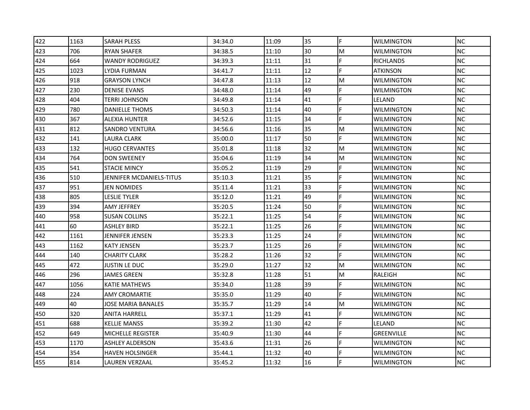| 422 | 1163 | SARAH PLESS              | 34:34.0 | 11:09 | 35 | F | <b>WILMINGTON</b> | <b>NC</b> |
|-----|------|--------------------------|---------|-------|----|---|-------------------|-----------|
| 423 | 706  | <b>RYAN SHAFER</b>       | 34:38.5 | 11:10 | 30 | M | WILMINGTON        | <b>NC</b> |
| 424 | 664  | <b>WANDY RODRIGUEZ</b>   | 34:39.3 | 11:11 | 31 | E | <b>RICHLANDS</b>  | <b>NC</b> |
| 425 | 1023 | LYDIA FURMAN             | 34:41.7 | 11:11 | 12 | F | <b>ATKINSON</b>   | <b>NC</b> |
| 426 | 918  | <b>GRAYSON LYNCH</b>     | 34:47.8 | 11:13 | 12 | M | <b>WILMINGTON</b> | <b>NC</b> |
| 427 | 230  | <b>DENISE EVANS</b>      | 34:48.0 | 11:14 | 49 | F | WILMINGTON        | <b>NC</b> |
| 428 | 404  | TERRI JOHNSON            | 34:49.8 | 11:14 | 41 | F | LELAND            | <b>NC</b> |
| 429 | 780  | DANIELLE THOMS           | 34:50.3 | 11:14 | 40 |   | <b>WILMINGTON</b> | <b>NC</b> |
| 430 | 367  | <b>ALEXIA HUNTER</b>     | 34:52.6 | 11:15 | 34 | F | <b>WILMINGTON</b> | <b>NC</b> |
| 431 | 812  | SANDRO VENTURA           | 34:56.6 | 11:16 | 35 | M | WILMINGTON        | <b>NC</b> |
| 432 | 141  | LAURA CLARK              | 35:00.0 | 11:17 | 50 | F | WILMINGTON        | <b>NC</b> |
| 433 | 132  | <b>HUGO CERVANTES</b>    | 35:01.8 | 11:18 | 32 | M | WILMINGTON        | <b>NC</b> |
| 434 | 764  | <b>DON SWEENEY</b>       | 35:04.6 | 11:19 | 34 | M | <b>WILMINGTON</b> | <b>NC</b> |
| 435 | 541  | <b>STACIE MINCY</b>      | 35:05.2 | 11:19 | 29 | F | <b>WILMINGTON</b> | <b>NC</b> |
| 436 | 510  | JENNIFER MCDANIELS-TITUS | 35:10.3 | 11:21 | 35 | F | WILMINGTON        | <b>NC</b> |
| 437 | 951  | JEN NOMIDES              | 35:11.4 | 11:21 | 33 | E | WILMINGTON        | <b>NC</b> |
| 438 | 805  | LESLIE TYLER             | 35:12.0 | 11:21 | 49 | F | WILMINGTON        | <b>NC</b> |
| 439 | 394  | AMY JEFFREY              | 35:20.5 | 11:24 | 50 |   | WILMINGTON        | <b>NC</b> |
| 440 | 958  | <b>SUSAN COLLINS</b>     | 35:22.1 | 11:25 | 54 | F | <b>WILMINGTON</b> | <b>NC</b> |
| 441 | 60   | <b>ASHLEY BIRD</b>       | 35:22.1 | 11:25 | 26 | F | WILMINGTON        | <b>NC</b> |
| 442 | 1161 | JENNIFER JENSEN          | 35:23.3 | 11:25 | 24 | F | WILMINGTON        | <b>NC</b> |
| 443 | 1162 | KATY JENSEN              | 35:23.7 | 11:25 | 26 |   | WILMINGTON        | <b>NC</b> |
| 444 | 140  | <b>CHARITY CLARK</b>     | 35:28.2 | 11:26 | 32 | F | WILMINGTON        | <b>NC</b> |
| 445 | 472  | JUSTIN LE DUC            | 35:29.0 | 11:27 | 32 | M | WILMINGTON        | <b>NC</b> |
| 446 | 296  | JAMES GREEN              | 35:32.8 | 11:28 | 51 | M | RALEIGH           | <b>NC</b> |
| 447 | 1056 | <b>KATIE MATHEWS</b>     | 35:34.0 | 11:28 | 39 | F | WILMINGTON        | <b>NC</b> |
| 448 | 224  | AMY CROMARTIE            | 35:35.0 | 11:29 | 40 | F | WILMINGTON        | <b>NC</b> |
| 449 | 40   | JOSE MARIA BANALES       | 35:35.7 | 11:29 | 14 | M | WILMINGTON        | <b>NC</b> |
| 450 | 320  | <b>ANITA HARRELL</b>     | 35:37.1 | 11:29 | 41 | E | <b>WILMINGTON</b> | <b>NC</b> |
| 451 | 688  | <b>KELLIE MANSS</b>      | 35:39.2 | 11:30 | 42 | F | LELAND            | <b>NC</b> |
| 452 | 649  | <b>MICHELLE REGISTER</b> | 35:40.9 | 11:30 | 44 | F | GREENVILLE        | <b>NC</b> |
| 453 | 1170 | ASHLEY ALDERSON          | 35:43.6 | 11:31 | 26 | F | WILMINGTON        | <b>NC</b> |
| 454 | 354  | <b>HAVEN HOLSINGER</b>   | 35:44.1 | 11:32 | 40 | F | WILMINGTON        | <b>NC</b> |
| 455 | 814  | <b>LAUREN VERZAAL</b>    | 35:45.2 | 11:32 | 16 |   | <b>WILMINGTON</b> | <b>NC</b> |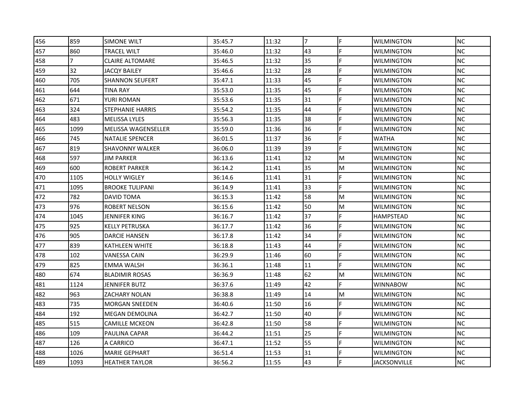| 456 | 859            | <b>SIMONE WILT</b>      | 35:45.7 | 11:32 | 7  | F | <b>WILMINGTON</b>   | <b>NC</b> |
|-----|----------------|-------------------------|---------|-------|----|---|---------------------|-----------|
| 457 | 860            | <b>TRACEL WILT</b>      | 35:46.0 | 11:32 | 43 | F | WILMINGTON          | <b>NC</b> |
| 458 | $\overline{7}$ | <b>CLAIRE ALTOMARE</b>  | 35:46.5 | 11:32 | 35 | F | <b>WILMINGTON</b>   | <b>NC</b> |
| 459 | 32             | JACQY BAILEY            | 35:46.6 | 11:32 | 28 | F | <b>WILMINGTON</b>   | <b>NC</b> |
| 460 | 705            | <b>SHANNON SEUFERT</b>  | 35:47.1 | 11:33 | 45 | F | WILMINGTON          | <b>NC</b> |
| 461 | 644            | TINA RAY                | 35:53.0 | 11:35 | 45 | F | WILMINGTON          | <b>NC</b> |
| 462 | 671            | YURI ROMAN              | 35:53.6 | 11:35 | 31 | F | WILMINGTON          | <b>NC</b> |
| 463 | 324            | <b>STEPHANIE HARRIS</b> | 35:54.2 | 11:35 | 44 |   | WILMINGTON          | <b>NC</b> |
| 464 | 483            | <b>MELISSA LYLES</b>    | 35:56.3 | 11:35 | 38 | F | <b>WILMINGTON</b>   | <b>NC</b> |
| 465 | 1099           | MELISSA WAGENSELLER     | 35:59.0 | 11:36 | 36 | F | WILMINGTON          | <b>NC</b> |
| 466 | 745            | <b>NATALIE SPENCER</b>  | 36:01.5 | 11:37 | 36 | F | WATHA               | <b>NC</b> |
| 467 | 819            | <b>SHAVONNY WALKER</b>  | 36:06.0 | 11:39 | 39 | F | WILMINGTON          | <b>NC</b> |
| 468 | 597            | JIM PARKER              | 36:13.6 | 11:41 | 32 | M | <b>WILMINGTON</b>   | <b>NC</b> |
| 469 | 600            | <b>ROBERT PARKER</b>    | 36:14.2 | 11:41 | 35 | M | <b>WILMINGTON</b>   | <b>NC</b> |
| 470 | 1105           | <b>HOLLY WIGLEY</b>     | 36:14.6 | 11:41 | 31 | F | WILMINGTON          | <b>NC</b> |
| 471 | 1095           | <b>BROOKE TULIPANI</b>  | 36:14.9 | 11:41 | 33 | F | WILMINGTON          | <b>NC</b> |
| 472 | 782            | <b>DAVID TOMA</b>       | 36:15.3 | 11:42 | 58 | M | WILMINGTON          | <b>NC</b> |
| 473 | 976            | <b>ROBERT NELSON</b>    | 36:15.6 | 11:42 | 50 | M | <b>WILMINGTON</b>   | <b>NC</b> |
| 474 | 1045           | <b>JENNIFER KING</b>    | 36:16.7 | 11:42 | 37 | F | <b>HAMPSTEAD</b>    | <b>NC</b> |
| 475 | 925            | <b>KELLY PETRUSKA</b>   | 36:17.7 | 11:42 | 36 | F | WILMINGTON          | <b>NC</b> |
| 476 | 905            | DARCIE HANSEN           | 36:17.8 | 11:42 | 34 | F | WILMINGTON          | <b>NC</b> |
| 477 | 839            | <b>KATHLEEN WHITE</b>   | 36:18.8 | 11:43 | 44 | F | WILMINGTON          | <b>NC</b> |
| 478 | 102            | <b>VANESSA CAIN</b>     | 36:29.9 | 11:46 | 60 | E | <b>WILMINGTON</b>   | NC        |
| 479 | 825            | <b>EMMA WALSH</b>       | 36:36.1 | 11:48 | 11 | F | <b>WILMINGTON</b>   | <b>NC</b> |
| 480 | 674            | <b>BLADIMIR ROSAS</b>   | 36:36.9 | 11:48 | 62 | M | WILMINGTON          | <b>NC</b> |
| 481 | 1124           | JENNIFER BUTZ           | 36:37.6 | 11:49 | 42 | F | WINNABOW            | <b>NC</b> |
| 482 | 963            | ZACHARY NOLAN           | 36:38.8 | 11:49 | 14 | M | WILMINGTON          | <b>NC</b> |
| 483 | 735            | <b>MORGAN SNEEDEN</b>   | 36:40.6 | 11:50 | 16 | F | WILMINGTON          | <b>NC</b> |
| 484 | 192            | <b>MEGAN DEMOLINA</b>   | 36:42.7 | 11:50 | 40 | F | <b>WILMINGTON</b>   | <b>NC</b> |
| 485 | 515            | <b>CAMILLE MCKEON</b>   | 36:42.8 | 11:50 | 58 | F | WILMINGTON          | <b>NC</b> |
| 486 | 109            | PAULINA CAPAR           | 36:44.2 | 11:51 | 25 | F | <b>WILMINGTON</b>   | <b>NC</b> |
| 487 | 126            | A CARRICO               | 36:47.1 | 11:52 | 55 | F | WILMINGTON          | <b>NC</b> |
| 488 | 1026           | <b>MARIE GEPHART</b>    | 36:51.4 | 11:53 | 31 | F | <b>WILMINGTON</b>   | <b>NC</b> |
| 489 | 1093           | <b>HEATHER TAYLOR</b>   | 36:56.2 | 11:55 | 43 |   | <b>JACKSONVILLE</b> | <b>NC</b> |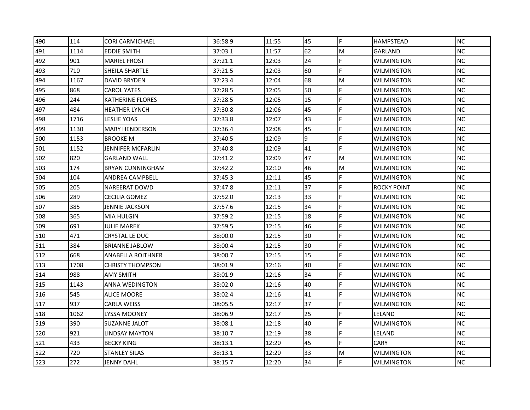| 490 | 114  | <b>CORI CARMICHAEL</b>   | 36:58.9 | 11:55 | 45 | F  | <b>HAMPSTEAD</b>   | <b>NC</b> |
|-----|------|--------------------------|---------|-------|----|----|--------------------|-----------|
| 491 | 1114 | <b>EDDIE SMITH</b>       | 37:03.1 | 11:57 | 62 | M  | GARLAND            | <b>NC</b> |
| 492 | 901  | <b>MARIEL FROST</b>      | 37:21.1 | 12:03 | 24 | E  | <b>WILMINGTON</b>  | <b>NC</b> |
| 493 | 710  | SHEILA SHARTLE           | 37:21.5 | 12:03 | 60 | F  | <b>WILMINGTON</b>  | <b>NC</b> |
| 494 | 1167 | <b>DAVID BRYDEN</b>      | 37:23.4 | 12:04 | 68 | M  | WILMINGTON         | <b>NC</b> |
| 495 | 868  | <b>CAROL YATES</b>       | 37:28.5 | 12:05 | 50 | F  | WILMINGTON         | <b>NC</b> |
| 496 | 244  | <b>KATHERINE FLORES</b>  | 37:28.5 | 12:05 | 15 | F  | WILMINGTON         | <b>NC</b> |
| 497 | 484  | <b>HEATHER LYNCH</b>     | 37:30.8 | 12:06 | 45 |    | <b>WILMINGTON</b>  | <b>NC</b> |
| 498 | 1716 | <b>LESLIE YOAS</b>       | 37:33.8 | 12:07 | 43 | F  | <b>WILMINGTON</b>  | <b>NC</b> |
| 499 | 1130 | <b>MARY HENDERSON</b>    | 37:36.4 | 12:08 | 45 | F  | <b>WILMINGTON</b>  | <b>NC</b> |
| 500 | 1153 | BROOKE M                 | 37:40.5 | 12:09 | 9  | F  | WILMINGTON         | <b>NC</b> |
| 501 | 1152 | <b>JENNIFER MCFARLIN</b> | 37:40.8 | 12:09 | 41 | F  | WILMINGTON         | <b>NC</b> |
| 502 | 820  | <b>GARLAND WALL</b>      | 37:41.2 | 12:09 | 47 | M  | WILMINGTON         | <b>NC</b> |
| 503 | 174  | <b>BRYAN CUNNINGHAM</b>  | 37:42.2 | 12:10 | 46 | M  | <b>WILMINGTON</b>  | <b>NC</b> |
| 504 | 104  | ANDREA CAMPBELL          | 37:45.3 | 12:11 | 45 | F  | WILMINGTON         | <b>NC</b> |
| 505 | 205  | NAREERAT DOWD            | 37:47.8 | 12:11 | 37 | F  | <b>ROCKY POINT</b> | <b>NC</b> |
| 506 | 289  | CECILIA GOMEZ            | 37:52.0 | 12:13 | 33 | F  | WILMINGTON         | <b>NC</b> |
| 507 | 385  | JENNIE JACKSON           | 37:57.6 | 12:15 | 34 | F  | WILMINGTON         | <b>NC</b> |
| 508 | 365  | MIA HULGIN               | 37:59.2 | 12:15 | 18 | F  | <b>WILMINGTON</b>  | <b>NC</b> |
| 509 | 691  | <b>JULIE MAREK</b>       | 37:59.5 | 12:15 | 46 | F  | WILMINGTON         | <b>NC</b> |
| 510 | 471  | CRYSTAL LE DUC           | 38:00.0 | 12:15 | 30 | F  | WILMINGTON         | NC        |
| 511 | 384  | <b>BRIANNE JABLOW</b>    | 38:00.4 | 12:15 | 30 |    | WILMINGTON         | <b>NC</b> |
| 512 | 668  | <b>ANABELLA ROITHNER</b> | 38:00.7 | 12:15 | 15 | F  | <b>WILMINGTON</b>  | <b>NC</b> |
| 513 | 1708 | <b>CHRISTY THOMPSON</b>  | 38:01.9 | 12:16 | 40 |    | <b>WILMINGTON</b>  | <b>NC</b> |
| 514 | 988  | <b>AMY SMITH</b>         | 38:01.9 | 12:16 | 34 | F  | <b>WILMINGTON</b>  | <b>NC</b> |
| 515 | 1143 | ANNA WEDINGTON           | 38:02.0 | 12:16 | 40 |    | WILMINGTON         | <b>NC</b> |
| 516 | 545  | ALICE MOORE              | 38:02.4 | 12:16 | 41 | F  | WILMINGTON         | <b>NC</b> |
| 517 | 937  | CARLA WEISS              | 38:05.5 | 12:17 | 37 | F  | WILMINGTON         | <b>NC</b> |
| 518 | 1062 | LYSSA MOONEY             | 38:06.9 | 12:17 | 25 |    | LELAND             | <b>NC</b> |
| 519 | 390  | SUZANNE JALOT            | 38:08.1 | 12:18 | 40 | F  | <b>WILMINGTON</b>  | <b>NC</b> |
| 520 | 921  | <b>LINDSAY MAYTON</b>    | 38:10.7 | 12:19 | 38 | F  | LELAND             | <b>NC</b> |
| 521 | 433  | <b>BECKY KING</b>        | 38:13.1 | 12:20 | 45 | E  | <b>CARY</b>        | <b>NC</b> |
| 522 | 720  | <b>STANLEY SILAS</b>     | 38:13.1 | 12:20 | 33 | M  | WILMINGTON         | <b>NC</b> |
| 523 | 272  | <b>JENNY DAHL</b>        | 38:15.7 | 12:20 | 34 | F. | <b>WILMINGTON</b>  | <b>NC</b> |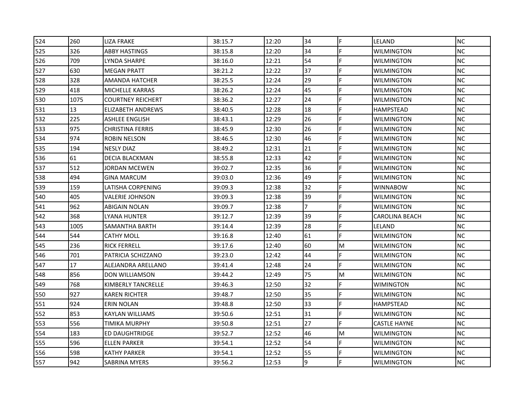| 524 | 260        | <b>LIZA FRAKE</b>        | 38:15.7 | 12:20          | 34             | F  | <b>ILELAND</b>        | <b>NC</b>  |
|-----|------------|--------------------------|---------|----------------|----------------|----|-----------------------|------------|
| 525 | 326        | ABBY HASTINGS            | 38:15.8 | 12:20          | 34             | F  | WILMINGTON            | <b>NC</b>  |
| 526 | 709        | LYNDA SHARPE             | 38:16.0 | 12:21          | 54             | F  | WILMINGTON            | NC         |
|     | 630        | <b>MEGAN PRATT</b>       |         | 12:22          | 37             | F. |                       | NC.        |
| 527 | 328        | AMANDA HATCHER           | 38:21.2 |                | 29             | F  | <b>WILMINGTON</b>     | <b>NC</b>  |
| 528 | 418        |                          | 38:25.5 | 12:24          |                | F  | <b>WILMINGTON</b>     | <b>NC</b>  |
| 529 |            | <b>MICHELLE KARRAS</b>   | 38:26.2 | 12:24          | 45<br>24       | F  | <b>WILMINGTON</b>     |            |
| 530 | 1075<br>13 | <b>COURTNEY REICHERT</b> | 38:36.2 | 12:27<br>12:28 | 18             | F  | <b>WILMINGTON</b>     | NC.<br>NC. |
| 531 |            | <b>ELIZABETH ANDREWS</b> | 38:40.5 |                |                |    | HAMPSTEAD             |            |
| 532 | 225        | ASHLEE ENGLISH           | 38:43.1 | 12:29          | 26             | F  | <b>WILMINGTON</b>     | <b>NC</b>  |
| 533 | 975        | <b>CHRISTINA FERRIS</b>  | 38:45.9 | 12:30          | 26             | F  | <b>WILMINGTON</b>     | NC.        |
| 534 | 974        | ROBIN NELSON             | 38:46.5 | 12:30          | 46             | F  | WILMINGTON            | NC         |
| 535 | 194        | <b>NESLY DIAZ</b>        | 38:49.2 | 12:31          | 21             | F  | WILMINGTON            | <b>NC</b>  |
| 536 | 61         | DECIA BLACKMAN           | 38:55.8 | 12:33          | 42             | F  | WILMINGTON            | NC         |
| 537 | 512        | JORDAN MCEWEN            | 39:02.7 | 12:35          | 36             | F  | WILMINGTON            | NC         |
| 538 | 494        | <b>GINA MARCUM</b>       | 39:03.0 | 12:36          | 49             | F  | WILMINGTON            | NC.        |
| 539 | 159        | LATISHA CORPENING        | 39:09.3 | 12:38          | 32             | F  | WINNABOW              | NC         |
| 540 | 405        | VALERIE JOHNSON          | 39:09.3 | 12:38          | 39             | F  | <b>WILMINGTON</b>     | NC.        |
| 541 | 962        | ABIGAIN NOLAN            | 39:09.7 | 12:38          | $\overline{7}$ | F  | <b>WILMINGTON</b>     | <b>NC</b>  |
| 542 | 368        | <b>LYANA HUNTER</b>      | 39:12.7 | 12:39          | 39             | F  | <b>CAROLINA BEACH</b> | NC.        |
| 543 | 1005       | SAMANTHA BARTH           | 39:14.4 | 12:39          | 28             | F  | LELAND                | NC         |
| 544 | 544        | <b>CATHY MOLL</b>        | 39:16.8 | 12:40          | 61             | F  | WILMINGTON            | NC.        |
| 545 | 236        | <b>RICK FERRELL</b>      | 39:17.6 | 12:40          | 60             | M  | WILMINGTON            | ΝC         |
| 546 | 701        | PATRICIA SCHIZZANO       | 39:23.0 | 12:42          | 44             | F  | WILMINGTON            | <b>NC</b>  |
| 547 | 17         | ALEJANDRA ARELLANO       | 39:41.4 | 12:48          | 24             | F  | <b>WILMINGTON</b>     | <b>NC</b>  |
| 548 | 856        | <b>DON WILLIAMSON</b>    | 39:44.2 | 12:49          | 75             | M  | <b>WILMINGTON</b>     | NC         |
| 549 | 768        | KIMBERLY TANCRELLE       | 39:46.3 | 12:50          | 32             | F  | WIMINGTON             | NC         |
| 550 | 927        | <b>KAREN RICHTER</b>     | 39:48.7 | 12:50          | 35             | F  | WILMINGTON            | NC.        |
| 551 | 924        | <b>ERIN NOLAN</b>        | 39:48.8 | 12:50          | 33             | F  | <b>HAMPSTEAD</b>      | NC.        |
| 552 | 853        | KAYLAN WILLIAMS          | 39:50.6 | 12:51          | 31             | F  | <b>WILMINGTON</b>     | NC.        |
| 553 | 556        | <b>TIMIKA MURPHY</b>     | 39:50.8 | 12:51          | 27             | F  | CASTLE HAYNE          | <b>NC</b>  |
| 554 | 183        | ED DAUGHTRIDGE           | 39:52.7 | 12:52          | 46             | M  | WILMINGTON            | <b>NC</b>  |
| 555 | 596        | <b>ELLEN PARKER</b>      | 39:54.1 | 12:52          | 54             | F  | WILMINGTON            | <b>NC</b>  |
| 556 | 598        | KATHY PARKER             | 39:54.1 | 12:52          | 55             | F  | WILMINGTON            | NC.        |
| 557 | 942        | SABRINA MYERS            | 39:56.2 | 12:53          | 9              | F  | <b>WILMINGTON</b>     | ΝC         |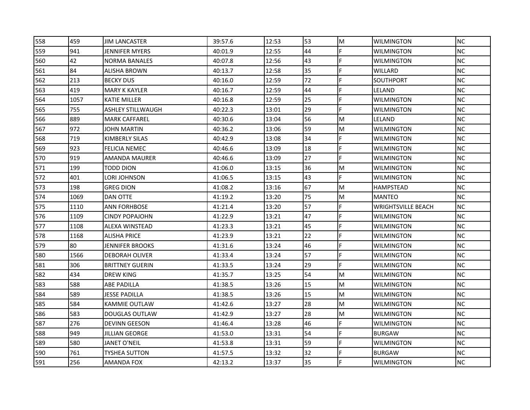| 558 | 459  | <b>JIM LANCASTER</b>     | 39:57.6 | 12:53 | 53 | M | <b>WILMINGTON</b>         | <b>NC</b> |
|-----|------|--------------------------|---------|-------|----|---|---------------------------|-----------|
| 559 | 941  | JENNIFER MYERS           | 40:01.9 | 12:55 | 44 |   | <b>WILMINGTON</b>         | <b>NC</b> |
| 560 | 42   | <b>NORMA BANALES</b>     | 40:07.8 | 12:56 | 43 | F | <b>WILMINGTON</b>         | <b>NC</b> |
| 561 | 84   | <b>ALISHA BROWN</b>      | 40:13.7 | 12:58 | 35 | F | WILLARD                   | <b>NC</b> |
| 562 | 213  | <b>BECKY DUS</b>         | 40:16.0 | 12:59 | 72 | F | SOUTHPORT                 | <b>NC</b> |
| 563 | 419  | MARY K KAYLER            | 40:16.7 | 12:59 | 44 | F | LELAND                    | <b>NC</b> |
| 564 | 1057 | KATIE MILLER             | 40:16.8 | 12:59 | 25 | F | WILMINGTON                | <b>NC</b> |
| 565 | 755  | <b>ASHLEY STILLWAUGH</b> | 40:22.3 | 13:01 | 29 | F | <b>WILMINGTON</b>         | <b>NC</b> |
| 566 | 889  | <b>MARK CAFFAREL</b>     | 40:30.6 | 13:04 | 56 | M | LELAND                    | <b>NC</b> |
| 567 | 972  | JOHN MARTIN              | 40:36.2 | 13:06 | 59 | M | WILMINGTON                | <b>NC</b> |
| 568 | 719  | KIMBERLY SILAS           | 40:42.9 | 13:08 | 34 |   | WILMINGTON                | <b>NC</b> |
| 569 | 923  | FELICIA NEMEC            | 40:46.6 | 13:09 | 18 | F | WILMINGTON                | <b>NC</b> |
| 570 | 919  | AMANDA MAURER            | 40:46.6 | 13:09 | 27 | F | <b>WILMINGTON</b>         | <b>NC</b> |
| 571 | 199  | TODD DION                | 41:06.0 | 13:15 | 36 | M | <b>WILMINGTON</b>         | <b>NC</b> |
| 572 | 401  | LORI JOHNSON             | 41:06.5 | 13:15 | 43 | F | WILMINGTON                | <b>NC</b> |
| 573 | 198  | GREG DION                | 41:08.2 | 13:16 | 67 | M | HAMPSTEAD                 | <b>NC</b> |
| 574 | 1069 | DAN OTTE                 | 41:19.2 | 13:20 | 75 | M | <b>MANTEO</b>             | <b>NC</b> |
| 575 | 1110 | <b>ANN FORHBOSE</b>      | 41:21.4 | 13:20 | 57 |   | <b>WRIGHTSVILLE BEACH</b> | <b>NC</b> |
| 576 | 1109 | <b>CINDY POPAJOHN</b>    | 41:22.9 | 13:21 | 47 | F | <b>WILMINGTON</b>         | <b>NC</b> |
| 577 | 1108 | ALEXA WINSTEAD           | 41:23.3 | 13:21 | 45 | F | WILMINGTON                | <b>NC</b> |
| 578 | 1168 | ALISHA PRICE             | 41:23.9 | 13:21 | 22 | F | WILMINGTON                | <b>NC</b> |
| 579 | 80   | JENNIFER BROOKS          | 41:31.6 | 13:24 | 46 |   | WILMINGTON                | <b>NC</b> |
| 580 | 1566 | <b>DEBORAH OLIVER</b>    | 41:33.4 | 13:24 | 57 | F | WILMINGTON                | <b>NC</b> |
| 581 | 306  | <b>BRITTNEY GUERIN</b>   | 41:33.5 | 13:24 | 29 |   | <b>WILMINGTON</b>         | <b>NC</b> |
| 582 | 434  | DREW KING                | 41:35.7 | 13:25 | 54 | M | <b>WILMINGTON</b>         | <b>NC</b> |
| 583 | 588  | ABE PADILLA              | 41:38.5 | 13:26 | 15 | M | WILMINGTON                | <b>NC</b> |
| 584 | 589  | JESSE PADILLA            | 41:38.5 | 13:26 | 15 | M | WILMINGTON                | <b>NC</b> |
| 585 | 584  | KAMMIE OUTLAW            | 41:42.6 | 13:27 | 28 | M | WILMINGTON                | <b>NC</b> |
| 586 | 583  | <b>DOUGLAS OUTLAW</b>    | 41:42.9 | 13:27 | 28 | M | <b>WILMINGTON</b>         | <b>NC</b> |
| 587 | 276  | <b>DEVINN GEESON</b>     | 41:46.4 | 13:28 | 46 | F | <b>WILMINGTON</b>         | <b>NC</b> |
| 588 | 949  | JILLIAN GEORGE           | 41:53.0 | 13:31 | 54 | F | <b>BURGAW</b>             | <b>NC</b> |
| 589 | 580  | JANET O'NEIL             | 41:53.8 | 13:31 | 59 | F | WILMINGTON                | <b>NC</b> |
| 590 | 761  | TYSHEA SUTTON            | 41:57.5 | 13:32 | 32 | F | <b>BURGAW</b>             | <b>NC</b> |
| 591 |      |                          | 42:13.2 | 13:37 | 35 |   | <b>WILMINGTON</b>         | <b>NC</b> |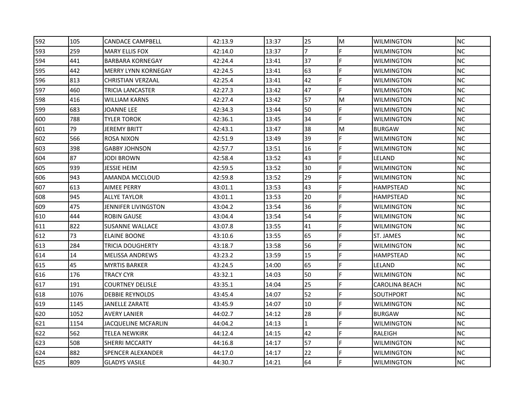| 592 | 105  | <b>CANDACE CAMPBELL</b>    | 42:13.9 | 13:37 | 25             | M | <b>WILMINGTON</b> | <b>NC</b> |
|-----|------|----------------------------|---------|-------|----------------|---|-------------------|-----------|
| 593 | 259  | <b>MARY ELLIS FOX</b>      | 42:14.0 | 13:37 | $\overline{7}$ |   | WILMINGTON        | <b>NC</b> |
| 594 | 441  | <b>BARBARA KORNEGAY</b>    | 42:24.4 | 13:41 | 37             | F | <b>WILMINGTON</b> | <b>NC</b> |
| 595 | 442  | <b>MERRY LYNN KORNEGAY</b> | 42:24.5 | 13:41 | 63             | F | <b>WILMINGTON</b> | <b>NC</b> |
| 596 | 813  | CHRISTIAN VERZAAL          | 42:25.4 | 13:41 | 42             | F | WILMINGTON        | <b>NC</b> |
| 597 | 460  | TRICIA LANCASTER           | 42:27.3 | 13:42 | 47             | F | WILMINGTON        | <b>NC</b> |
| 598 | 416  | WILLIAM KARNS              | 42:27.4 | 13:42 | 57             | M | WILMINGTON        | <b>NC</b> |
| 599 | 683  | JOANNE LEE                 | 42:34.3 | 13:44 | 50             | F | <b>WILMINGTON</b> | <b>NC</b> |
| 600 | 788  | <b>TYLER TOROK</b>         | 42:36.1 | 13:45 | 34             | F | <b>WILMINGTON</b> | <b>NC</b> |
| 601 | 79   | JEREMY BRITT               | 42:43.1 | 13:47 | 38             | M | <b>BURGAW</b>     | <b>NC</b> |
| 602 | 566  | ROSA NIXON                 | 42:51.9 | 13:49 | 39             |   | WILMINGTON        | <b>NC</b> |
| 603 | 398  | <b>GABBY JOHNSON</b>       | 42:57.7 | 13:51 | 16             | F | WILMINGTON        | <b>NC</b> |
| 604 | 87   | JODI BROWN                 | 42:58.4 | 13:52 | 43             |   | LELAND            | <b>NC</b> |
| 605 | 939  | JESSIE HEIM                | 42:59.5 | 13:52 | 30             |   | <b>WILMINGTON</b> | <b>NC</b> |
| 606 | 943  | AMANDA MCCLOUD             | 42:59.8 | 13:52 | 29             | F | WILMINGTON        | <b>NC</b> |
| 607 | 613  | AIMEE PERRY                | 43:01.1 | 13:53 | 43             | F | HAMPSTEAD         | <b>NC</b> |
| 608 | 945  | ALLYE TAYLOR               | 43:01.1 | 13:53 | 20             | F | HAMPSTEAD         | <b>NC</b> |
| 609 | 475  | JENNIFER LIVINGSTON        | 43:04.2 | 13:54 | 36             |   | WILMINGTON        | <b>NC</b> |
| 610 | 444  | <b>ROBIN GAUSE</b>         | 43:04.4 | 13:54 | 54             | F | <b>WILMINGTON</b> | <b>NC</b> |
| 611 | 822  | <b>SUSANNE WALLACE</b>     | 43:07.8 | 13:55 | 41             | F | WILMINGTON        | <b>NC</b> |
| 612 | 73   | ELAINE BOONE               | 43:10.6 | 13:55 | 65             | F | ST. JAMES         | <b>NC</b> |
| 613 | 284  | TRICIA DOUGHERTY           | 43:18.7 | 13:58 | 56             |   | WILMINGTON        | <b>NC</b> |
| 614 | 14   | <b>MELISSA ANDREWS</b>     | 43:23.2 | 13:59 | 15             | F | <b>HAMPSTEAD</b>  | <b>NC</b> |
| 615 | 45   | <b>MYRTIS BARKER</b>       | 43:24.5 | 14:00 | 65             |   | LELAND            | <b>NC</b> |
| 616 | 176  | <b>TRACY CYR</b>           | 43:32.1 | 14:03 | 50             | F | <b>WILMINGTON</b> | <b>NC</b> |
| 617 | 191  | <b>COURTNEY DELISLE</b>    | 43:35.1 | 14:04 | 25             | F | CAROLINA BEACH    | <b>NC</b> |
| 618 | 1076 | <b>DEBBIE REYNOLDS</b>     | 43:45.4 | 14:07 | 52             | F | SOUTHPORT         | <b>NC</b> |
| 619 | 1145 | JANELLE ZARATE             | 43:45.9 | 14:07 | 10             | F | WILMINGTON        | NC.       |
| 620 | 1052 | <b>AVERY LANIER</b>        | 44:02.7 | 14:12 | 28             | F | <b>BURGAW</b>     | <b>NC</b> |
| 621 | 1154 | <b>JACQUELINE MCFARLIN</b> | 44:04.2 | 14:13 | $\mathbf{1}$   | F | <b>WILMINGTON</b> | <b>NC</b> |
| 622 | 562  | TELEA NEWKIRK              | 44:12.4 | 14:15 | 42             | F | RALEIGH           | <b>NC</b> |
| 623 | 508  | SHERRI MCCARTY             | 44:16.8 | 14:17 | 57             | F | WILMINGTON        | <b>NC</b> |
| 624 | 882  | SPENCER ALEXANDER          | 44:17.0 | 14:17 | 22             | F | WILMINGTON        | <b>NC</b> |
| 625 | 809  | <b>GLADYS VASILE</b>       | 44:30.7 | 14:21 | 64             |   | <b>WILMINGTON</b> | <b>NC</b> |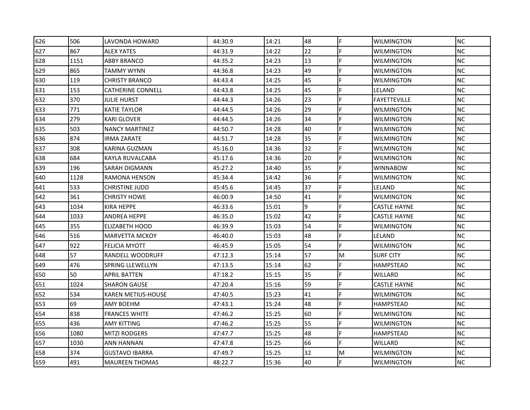| 626 | 506  | LAVONDA HOWARD           | 44:30.9 | 14:21 | 48 | F | <b>WILMINGTON</b>   | <b>NC</b> |
|-----|------|--------------------------|---------|-------|----|---|---------------------|-----------|
| 627 | 867  | <b>ALEX YATES</b>        | 44:31.9 | 14:22 | 22 |   | WILMINGTON          | <b>NC</b> |
| 628 | 1151 | ABBY BRANCO              | 44:35.2 | 14:23 | 13 | F | <b>WILMINGTON</b>   | <b>NC</b> |
| 629 | 865  | TAMMY WYNN               | 44:36.8 | 14:23 | 49 | F | <b>WILMINGTON</b>   | <b>NC</b> |
| 630 | 119  | <b>CHRISTY BRANCO</b>    | 44:43.4 | 14:25 | 45 | F | WILMINGTON          | <b>NC</b> |
| 631 | 153  | <b>CATHERINE CONNELL</b> | 44:43.8 | 14:25 | 45 | F | LELAND              | <b>NC</b> |
| 632 | 370  | JULIE HURST              | 44:44.3 | 14:26 | 23 | E | <b>FAYETTEVILLE</b> | <b>NC</b> |
| 633 | 771  | KATIE TAYLOR             | 44:44.5 | 14:26 | 29 |   | WILMINGTON          | <b>NC</b> |
| 634 | 279  | <b>KARI GLOVER</b>       | 44:44.5 | 14:26 | 34 | F | <b>WILMINGTON</b>   | <b>NC</b> |
| 635 | 503  | <b>NANCY MARTINEZ</b>    | 44:50.7 | 14:28 | 40 | F | WILMINGTON          | <b>NC</b> |
| 636 | 874  | IRMA ZARATE              | 44:51.7 | 14:28 | 35 |   | WILMINGTON          | <b>NC</b> |
| 637 | 308  | KARINA GUZMAN            | 45:16.0 | 14:36 | 32 | F | WILMINGTON          | <b>NC</b> |
| 638 | 684  | KAYLA RUVALCABA          | 45:17.6 | 14:36 | 20 |   | <b>WILMINGTON</b>   | <b>NC</b> |
| 639 | 196  | SARAH DIGMANN            | 45:27.2 | 14:40 | 35 |   | <b>WINNABOW</b>     | <b>NC</b> |
| 640 | 1128 | RAMONA HENSON            | 45:34.4 | 14:42 | 36 | F | WILMINGTON          | <b>NC</b> |
| 641 | 533  | CHRISTINE JUDD           | 45:45.6 | 14:45 | 37 | E | LELAND              | <b>NC</b> |
| 642 | 361  | <b>CHRISTY HOWE</b>      | 46:00.9 | 14:50 | 41 | F | WILMINGTON          | <b>NC</b> |
| 643 | 1034 | <b>KIRA HEPPE</b>        | 46:33.6 | 15:01 | 9  |   | <b>CASTLE HAYNE</b> | <b>NC</b> |
| 644 | 1033 | ANDREA HEPPE             | 46:35.0 | 15:02 | 42 | F | <b>CASTLE HAYNE</b> | <b>NC</b> |
| 645 | 355  | ELIZABETH HOOD           | 46:39.9 | 15:03 | 54 | F | WILMINGTON          | <b>NC</b> |
| 646 | 516  | <b>MARVETTA MCKOY</b>    | 46:40.0 | 15:03 | 48 | F | LELAND              | <b>NC</b> |
| 647 | 922  | FELICIA MYOTT            | 46:45.9 | 15:05 | 54 |   | WILMINGTON          | <b>NC</b> |
| 648 | 57   | RANDELL WOODRUFF         | 47:12.3 | 15:14 | 57 | M | <b>SURF CITY</b>    | <b>NC</b> |
| 649 | 476  | SPRING LLEWELLYN         | 47:13.5 | 15:14 | 62 | E | HAMPSTEAD           | <b>NC</b> |
| 650 | 50   | <b>APRIL BATTEN</b>      | 47:18.2 | 15:15 | 35 | F | WILLARD             | <b>NC</b> |
| 651 | 1024 | <b>SHARON GAUSE</b>      | 47:20.4 | 15:16 | 59 | F | <b>CASTLE HAYNE</b> | <b>NC</b> |
| 652 | 534  | KAREN METIUS-HOUSE       | 47:40.5 | 15:23 | 41 | F | WILMINGTON          | <b>NC</b> |
| 653 | 69   | AMY BOEHM                | 47:43.1 | 15:24 | 48 | F | <b>HAMPSTEAD</b>    | <b>NC</b> |
| 654 | 838  | <b>FRANCES WHITE</b>     | 47:46.2 | 15:25 | 60 | F | <b>WILMINGTON</b>   | <b>NC</b> |
| 655 | 436  | AMY KITTING              | 47:46.2 | 15:25 | 55 | F | <b>WILMINGTON</b>   | <b>NC</b> |
| 656 | 1080 | <b>MITZI RODGERS</b>     | 47:47.7 | 15:25 | 48 | F | HAMPSTEAD           | <b>NC</b> |
| 657 | 1030 | ANN HANNAN               | 47:47.8 | 15:25 | 66 | F | WILLARD             | <b>NC</b> |
| 658 | 374  | <b>GUSTAVO IBARRA</b>    | 47:49.7 | 15:25 | 32 | M | WILMINGTON          | <b>NC</b> |
| 659 | 491  | <b>MAUREEN THOMAS</b>    | 48:22.7 | 15:36 | 40 |   | <b>WILMINGTON</b>   | <b>NC</b> |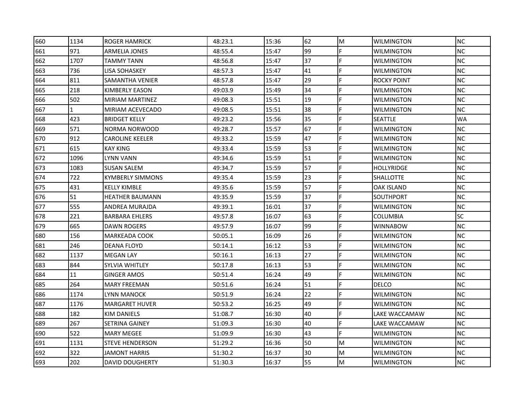| 660 | 1134         | <b>ROGER HAMRICK</b>    | 48:23.1 | 15:36 | 62 | M | <b>WILMINGTON</b> | <b>NC</b> |
|-----|--------------|-------------------------|---------|-------|----|---|-------------------|-----------|
| 661 | 971          | ARMELIA JONES           | 48:55.4 | 15:47 | 99 |   | WILMINGTON        | <b>NC</b> |
| 662 | 1707         | <b>TAMMY TANN</b>       | 48:56.8 | 15:47 | 37 | F | <b>WILMINGTON</b> | <b>NC</b> |
| 663 | 736          | LISA SOHASKEY           | 48:57.3 | 15:47 | 41 | F | <b>WILMINGTON</b> | <b>NC</b> |
| 664 | 811          | SAMANTHA VENIER         | 48:57.8 | 15:47 | 29 | F | ROCKY POINT       | <b>NC</b> |
| 665 | 218          | KIMBERLY EASON          | 49:03.9 | 15:49 | 34 | F | WILMINGTON        | <b>NC</b> |
| 666 | 502          | MIRIAM MARTINEZ         | 49:08.3 | 15:51 | 19 | E | WILMINGTON        | <b>NC</b> |
| 667 | $\mathbf{1}$ | MIRIAM ACEVECADO        | 49:08.5 | 15:51 | 38 |   | <b>WILMINGTON</b> | <b>NC</b> |
| 668 | 423          | <b>BRIDGET KELLY</b>    | 49:23.2 | 15:56 | 35 | F | <b>SEATTLE</b>    | <b>WA</b> |
| 669 | 571          | NORMA NORWOOD           | 49:28.7 | 15:57 | 67 | F | WILMINGTON        | <b>NC</b> |
| 670 | 912          | <b>CAROLINE KEELER</b>  | 49:33.2 | 15:59 | 47 |   | WILMINGTON        | <b>NC</b> |
| 671 | 615          | <b>KAY KING</b>         | 49:33.4 | 15:59 | 53 | F | WILMINGTON        | <b>NC</b> |
| 672 | 1096         | LYNN VANN               | 49:34.6 | 15:59 | 51 |   | <b>WILMINGTON</b> | <b>NC</b> |
| 673 | 1083         | <b>SUSAN SALEM</b>      | 49:34.7 | 15:59 | 57 |   | <b>HOLLYRIDGE</b> | <b>NC</b> |
| 674 | 722          | <b>KYMBERLY SIMMONS</b> | 49:35.4 | 15:59 | 23 | F | SHALLOTTE         | <b>NC</b> |
| 675 | 431          | KELLY KIMBLE            | 49:35.6 | 15:59 | 57 | F | OAK ISLAND        | <b>NC</b> |
| 676 | 51           | HEATHER BAUMANN         | 49:35.9 | 15:59 | 37 | F | SOUTHPORT         | <b>NC</b> |
| 677 | 555          | ANDREA MURAJDA          | 49:39.1 | 16:01 | 37 |   | WILMINGTON        | <b>NC</b> |
| 678 | 221          | <b>BARBARA EHLERS</b>   | 49:57.8 | 16:07 | 63 | F | <b>COLUMBIA</b>   | <b>SC</b> |
| 679 | 665          | DAWN ROGERS             | 49:57.9 | 16:07 | 99 | F | <b>WINNABOW</b>   | <b>NC</b> |
| 680 | 156          | MARKEADA COOK           | 50:05.1 | 16:09 | 26 | F | WILMINGTON        | <b>NC</b> |
| 681 | 246          | DEANA FLOYD             | 50:14.1 | 16:12 | 53 |   | WILMINGTON        | <b>NC</b> |
| 682 | 1137         | <b>MEGAN LAY</b>        | 50:16.1 | 16:13 | 27 | F | WILMINGTON        | <b>NC</b> |
| 683 | 844          | SYLVIA WHITLEY          | 50:17.8 | 16:13 | 53 |   | <b>WILMINGTON</b> | <b>NC</b> |
| 684 | 11           | <b>GINGER AMOS</b>      | 50:51.4 | 16:24 | 49 | F | <b>WILMINGTON</b> | <b>NC</b> |
| 685 | 264          | MARY FREEMAN            | 50:51.6 | 16:24 | 51 |   | <b>DELCO</b>      | <b>NC</b> |
| 686 | 1174         | LYNN MANOCK             | 50:51.9 | 16:24 | 22 | F | WILMINGTON        | <b>NC</b> |
| 687 | 1176         | <b>MARGARET HUVER</b>   | 50:53.2 | 16:25 | 49 | F | WILMINGTON        | <b>NC</b> |
| 688 | 182          | KIM DANIELS             | 51:08.7 | 16:30 | 40 | F | LAKE WACCAMAW     | <b>NC</b> |
| 689 | 267          | <b>SETRINA GAINEY</b>   | 51:09.3 | 16:30 | 40 | F | LAKE WACCAMAW     | <b>NC</b> |
| 690 | 522          | <b>MARY MEGEE</b>       | 51:09.9 | 16:30 | 43 | F | WILMINGTON        | <b>NC</b> |
| 691 | 1131         | <b>STEVE HENDERSON</b>  | 51:29.2 | 16:36 | 50 | M | WILMINGTON        | <b>NC</b> |
| 692 | 322          | JAMONT HARRIS           | 51:30.2 | 16:37 | 30 | M | WILMINGTON        | <b>NC</b> |
| 693 | 202          | <b>DAVID DOUGHERTY</b>  | 51:30.3 | 16:37 | 55 | M | <b>WILMINGTON</b> | <b>NC</b> |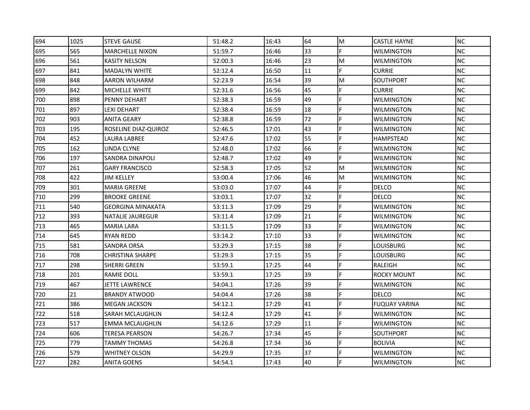| 694 | 1025 | <b>STEVE GAUSE</b>       | 51:48.2 | 16:43 | 64 | M  | <b>CASTLE HAYNE</b>  | <b>NC</b> |
|-----|------|--------------------------|---------|-------|----|----|----------------------|-----------|
| 695 | 565  | <b>MARCHELLE NIXON</b>   | 51:59.7 | 16:46 | 33 | F  | <b>WILMINGTON</b>    | NC        |
| 696 | 561  | KASITY NELSON            | 52:00.3 | 16:46 | 23 | M  | <b>WILMINGTON</b>    | <b>NC</b> |
| 697 | 841  | <b>MADALYN WHITE</b>     | 52:12.4 | 16:50 | 11 | F  | <b>CURRIE</b>        | <b>NC</b> |
| 698 | 848  | AARON WILHARM            | 52:23.9 | 16:54 | 39 | M  | SOUTHPORT            | NC.       |
| 699 | 842  | MICHELLE WHITE           | 52:31.6 | 16:56 | 45 | F  | <b>CURRIE</b>        | <b>NC</b> |
| 700 | 898  | PENNY DEHART             | 52:38.3 | 16:59 | 49 | F  | <b>WILMINGTON</b>    | NC        |
| 701 | 897  | LEXI DEHART              | 52:38.4 | 16:59 | 18 | F  | <b>WILMINGTON</b>    | <b>NC</b> |
| 702 | 903  | ANITA GEARY              | 52:38.8 | 16:59 | 72 | F  | <b>WILMINGTON</b>    | <b>NC</b> |
| 703 | 195  | ROSELINE DIAZ-QUIROZ     | 52:46.5 | 17:01 | 43 | F  | <b>WILMINGTON</b>    | NC        |
| 704 | 452  | LAURA LABREE             | 52:47.6 | 17:02 | 55 | F  | HAMPSTEAD            | NC.       |
| 705 | 162  | LINDA CLYNE              | 52:48.0 | 17:02 | 66 | F  | <b>WILMINGTON</b>    | <b>NC</b> |
| 706 | 197  | SANDRA DINAPOLI          | 52:48.7 | 17:02 | 49 | F  | <b>WILMINGTON</b>    | <b>NC</b> |
| 707 | 261  | <b>GARY FRANCISCO</b>    | 52:58.3 | 17:05 | 52 | M  | <b>WILMINGTON</b>    | <b>NC</b> |
| 708 | 422  | JIM KELLEY               | 53:00.4 | 17:06 | 46 | M  | <b>WILMINGTON</b>    | <b>NC</b> |
| 709 | 301  | <b>MARIA GREENE</b>      | 53:03.0 | 17:07 | 44 | F. | DELCO                | NC.       |
| 710 | 299  | <b>BROOKE GREENE</b>     | 53:03.1 | 17:07 | 32 | F  | DELCO                | <b>NC</b> |
| 711 | 540  | <b>GEORGINA MINAKATA</b> | 53:11.3 | 17:09 | 29 | F  | <b>WILMINGTON</b>    | NC        |
| 712 | 393  | NATALIE JAUREGUR         | 53:11.4 | 17:09 | 21 | F  | <b>WILMINGTON</b>    | <b>NC</b> |
| 713 | 465  | <b>MARIA LARA</b>        | 53:11.5 | 17:09 | 33 | F  | <b>WILMINGTON</b>    | <b>NC</b> |
| 714 | 645  | <b>RYAN REDD</b>         | 53:14.2 | 17:10 | 33 | F  | <b>WILMINGTON</b>    | NC        |
| 715 | 581  | SANDRA ORSA              | 53:29.3 | 17:15 | 38 | F  | LOUISBURG            | <b>NC</b> |
| 716 | 708  | <b>CHRISTINA SHARPE</b>  | 53:29.3 | 17:15 | 35 | F  | LOUISBURG            | NC.       |
| 717 | 298  | SHERRI GREEN             | 53:59.1 | 17:25 | 44 |    | RALEIGH              | <b>NC</b> |
| 718 | 201  | RAMIE DOLL               | 53:59.1 | 17:25 | 39 | F  | IROCKY MOUNT         | <b>NC</b> |
| 719 | 467  | JETTE LAWRENCE           | 54:04.1 | 17:26 | 39 | F  | <b>WILMINGTON</b>    | <b>NC</b> |
| 720 | 21   | <b>BRANDY ATWOOD</b>     | 54:04.4 | 17:26 | 38 | F  | <b>DELCO</b>         | NC        |
| 721 | 386  | <b>MEGAN JACKSON</b>     | 54:12.1 | 17:29 | 41 | F  | <b>FUQUAY VARINA</b> | <b>NC</b> |
| 722 | 518  | SARAH MCLAUGHLIN         | 54:12.4 | 17:29 | 41 | F  | <b>WILMINGTON</b>    | <b>NC</b> |
| 723 | 517  | <b>EMMA MCLAUGHLIN</b>   | 54:12.6 | 17:29 | 11 | F  | <b>WILMINGTON</b>    | <b>NC</b> |
| 724 | 606  | TERESA PEARSON           | 54:26.7 | 17:34 | 45 | F  | SOUTHPORT            | NC.       |
| 725 | 779  | TAMMY THOMAS             | 54:26.8 | 17:34 | 36 | F  | <b>BOLIVIA</b>       | NC        |
| 726 | 579  | WHITNEY OLSON            | 54:29.9 | 17:35 | 37 | F  | <b>WILMINGTON</b>    | NC        |
| 727 | 282  | ANITA GOENS              | 54:54.1 | 17:43 | 40 |    | <b>WILMINGTON</b>    | <b>NC</b> |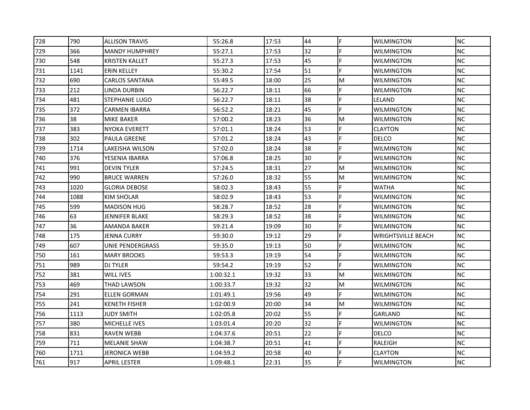| 728 | 790  | <b>ALLISON TRAVIS</b> | 55:26.8   | 17:53 | 44 | F | <b>WILMINGTON</b>         | <b>NC</b> |
|-----|------|-----------------------|-----------|-------|----|---|---------------------------|-----------|
| 729 | 366  | <b>MANDY HUMPHREY</b> | 55:27.1   | 17:53 | 32 | F | <b>WILMINGTON</b>         | <b>NC</b> |
| 730 | 548  | KRISTEN KALLET        | 55:27.3   | 17:53 | 45 | F | <b>WILMINGTON</b>         | <b>NC</b> |
| 731 | 1141 | <b>ERIN KELLEY</b>    | 55:30.2   | 17:54 | 51 | F | <b>WILMINGTON</b>         | <b>NC</b> |
| 732 | 690  | CARLOS SANTANA        | 55:49.5   | 18:00 | 25 | M | <b>WILMINGTON</b>         | <b>NC</b> |
| 733 | 212  | LINDA DURBIN          | 56:22.7   | 18:11 | 66 | F | <b>WILMINGTON</b>         | <b>NC</b> |
| 734 | 481  | <b>STEPHANIE LUGO</b> | 56:22.7   | 18:11 | 38 | F | LELAND                    | NC        |
| 735 | 372  | <b>CARMEN IBARRA</b>  | 56:52.2   | 18:21 | 45 | F | <b>WILMINGTON</b>         | <b>NC</b> |
| 736 | 38   | MIKE BAKER            | 57:00.2   | 18:23 | 36 | M | <b>WILMINGTON</b>         | <b>NC</b> |
| 737 | 383  | <b>NYOKA EVERETT</b>  | 57:01.1   | 18:24 | 53 | F | <b>CLAYTON</b>            | <b>NC</b> |
| 738 | 302  | PAULA GREENE          | 57:01.2   | 18:24 | 43 | F | <b>DELCO</b>              | <b>NC</b> |
| 739 | 1714 | LAKEISHA WILSON       | 57:02.0   | 18:24 | 38 | F | <b>WILMINGTON</b>         | <b>NC</b> |
| 740 | 376  | YESENIA IBARRA        | 57:06.8   | 18:25 | 30 | F | <b>WILMINGTON</b>         | <b>NC</b> |
| 741 | 991  | <b>DEVIN TYLER</b>    | 57:24.5   | 18:31 | 27 | M | <b>WILMINGTON</b>         | <b>NC</b> |
| 742 | 990  | <b>BRUCE WARREN</b>   | 57:26.0   | 18:32 | 55 | M | <b>WILMINGTON</b>         | NC.       |
| 743 | 1020 | <b>GLORIA DEBOSE</b>  | 58:02.3   | 18:43 | 55 | F | <b>WATHA</b>              | <b>NC</b> |
| 744 | 1088 | KIM SHOLAR            | 58:02.9   | 18:43 | 53 | F | WILMINGTON                | NC.       |
| 745 | 599  | <b>MADISON HUG</b>    | 58:28.7   | 18:52 | 28 | F | <b>WILMINGTON</b>         | NC.       |
| 746 | 63   | JENNIFER BLAKE        | 58:29.3   | 18:52 | 38 | F | <b>WILMINGTON</b>         | <b>NC</b> |
| 747 | 36   | AMANDA BAKER          | 59:21.4   | 19:09 | 30 | F | <b>WILMINGTON</b>         | <b>NC</b> |
| 748 | 175  | JENNA CURRY           | 59:30.0   | 19:12 | 29 | F | <b>WRIGHTSVILLE BEACH</b> | NC.       |
| 749 | 607  | UNIE PENDERGRASS      | 59:35.0   | 19:13 | 50 | F | WILMINGTON                | <b>NC</b> |
| 750 | 161  | <b>MARY BROOKS</b>    | 59:53.3   | 19:19 | 54 | F | <b>WILMINGTON</b>         | <b>NC</b> |
| 751 | 989  | <b>DJ TYLER</b>       | 59:54.2   | 19:19 | 52 | F | <b>WILMINGTON</b>         | <b>NC</b> |
| 752 | 381  | WILL IVES             | 1:00:32.1 | 19:32 | 33 | M | <b>WILMINGTON</b>         | <b>NC</b> |
| 753 | 469  | THAD LAWSON           | 1:00:33.7 | 19:32 | 32 | M | <b>WILMINGTON</b>         | NC.       |
| 754 | 291  | ELLEN GORMAN          | 1:01:49.1 | 19:56 | 49 | F | <b>WILMINGTON</b>         | <b>NC</b> |
| 755 | 241  | <b>KENETH FISHER</b>  | 1:02:00.9 | 20:00 | 34 | M | <b>WILMINGTON</b>         | NC        |
| 756 | 1113 | JUDY SMITH            | 1:02:05.8 | 20:02 | 55 | F | <b>GARLAND</b>            | NC        |
| 757 | 380  | MICHELLE IVES         | 1:03:01.4 | 20:20 | 32 | F | <b>WILMINGTON</b>         | <b>NC</b> |
| 758 | 831  | <b>RAVEN WEBB</b>     | 1:04:37.6 | 20:51 | 22 | F | <b>DELCO</b>              | <b>NC</b> |
| 759 | 711  | MELANIE SHAW          | 1:04:38.7 | 20:51 | 41 | F | RALEIGH                   | NC        |
| 760 | 1711 | JERONICA WEBB         | 1:04:59.2 | 20:58 | 40 | F | <b>CLAYTON</b>            | NC.       |
| 761 | 917  | <b>APRIL LESTER</b>   | 1:09:48.1 | 22:31 | 35 | F | <b>WILMINGTON</b>         | <b>NC</b> |